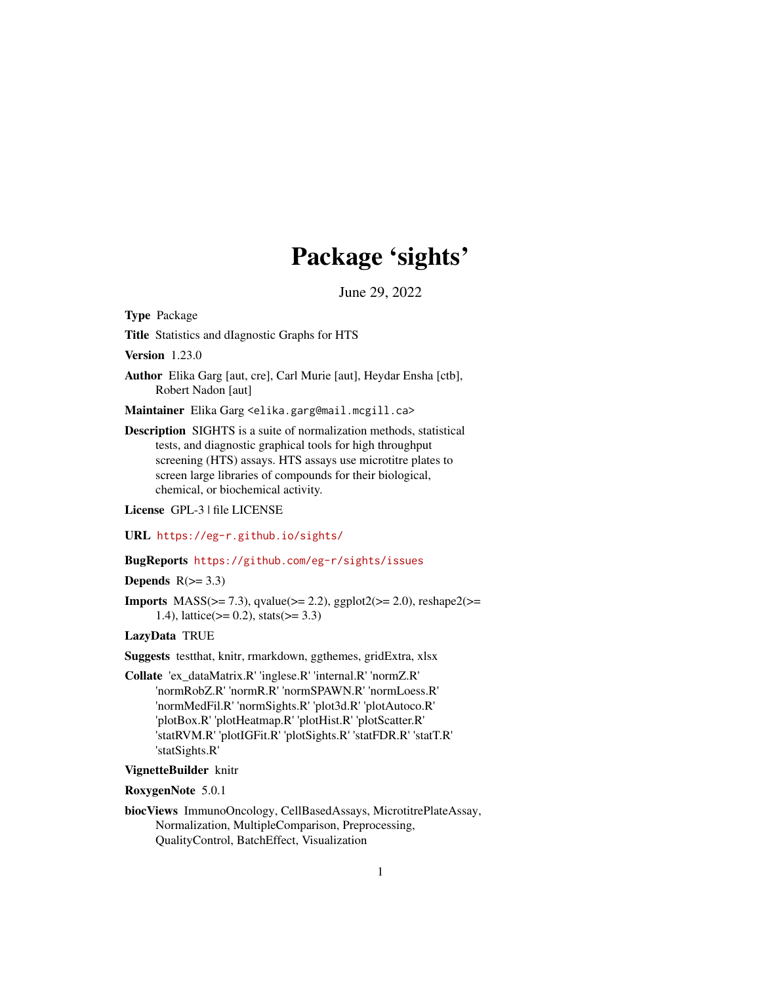# Package 'sights'

June 29, 2022

<span id="page-0-0"></span>Type Package

Title Statistics and dIagnostic Graphs for HTS

Version 1.23.0

Author Elika Garg [aut, cre], Carl Murie [aut], Heydar Ensha [ctb], Robert Nadon [aut]

Maintainer Elika Garg <elika.garg@mail.mcgill.ca>

Description SIGHTS is a suite of normalization methods, statistical tests, and diagnostic graphical tools for high throughput screening (HTS) assays. HTS assays use microtitre plates to screen large libraries of compounds for their biological, chemical, or biochemical activity.

License GPL-3 | file LICENSE

URL <https://eg-r.github.io/sights/>

# BugReports <https://github.com/eg-r/sights/issues>

# Depends  $R(>= 3.3)$

**Imports** MASS( $>= 7.3$ ), qvalue( $>= 2.2$ ), ggplot2( $>= 2.0$ ), reshape2( $>= 2.0$ 1.4), lattice( $> = 0.2$ ), stats( $>= 3.3$ )

# LazyData TRUE

Suggests testthat, knitr, rmarkdown, ggthemes, gridExtra, xlsx

Collate 'ex\_dataMatrix.R' 'inglese.R' 'internal.R' 'normZ.R' 'normRobZ.R' 'normR.R' 'normSPAWN.R' 'normLoess.R' 'normMedFil.R' 'normSights.R' 'plot3d.R' 'plotAutoco.R' 'plotBox.R' 'plotHeatmap.R' 'plotHist.R' 'plotScatter.R' 'statRVM.R' 'plotIGFit.R' 'plotSights.R' 'statFDR.R' 'statT.R' 'statSights.R'

# VignetteBuilder knitr

RoxygenNote 5.0.1

biocViews ImmunoOncology, CellBasedAssays, MicrotitrePlateAssay, Normalization, MultipleComparison, Preprocessing, QualityControl, BatchEffect, Visualization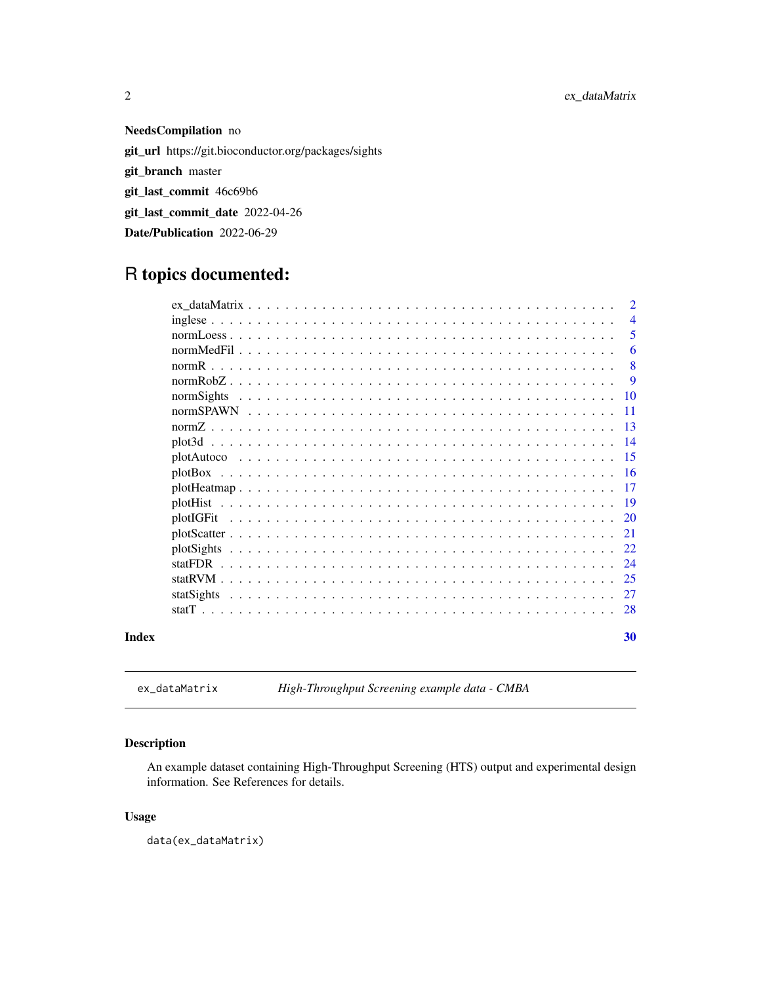<span id="page-1-0"></span>2 ex\_dataMatrix

NeedsCompilation no git\_url https://git.bioconductor.org/packages/sights git\_branch master git\_last\_commit 46c69b6 git\_last\_commit\_date 2022-04-26 Date/Publication 2022-06-29

# R topics documented:

| Index |            | 30             |
|-------|------------|----------------|
|       |            | 28             |
|       | statSights | 27             |
|       |            | 25             |
|       | statFDR    | 24             |
|       |            | 22             |
|       |            | 21             |
|       | plotIGFit  | 20             |
|       |            | -19            |
|       |            | 17             |
|       | plotBox    | -16            |
|       |            | -15            |
|       |            | -14            |
|       |            | -13            |
|       | normSights | 10<br>11       |
|       |            | 9              |
|       |            | 8              |
|       |            | 6              |
|       |            | 5              |
|       |            | $\overline{4}$ |
|       |            | $\overline{2}$ |

<span id="page-1-1"></span>ex\_dataMatrix *High-Throughput Screening example data - CMBA*

# Description

An example dataset containing High-Throughput Screening (HTS) output and experimental design information. See References for details.

# Usage

data(ex\_dataMatrix)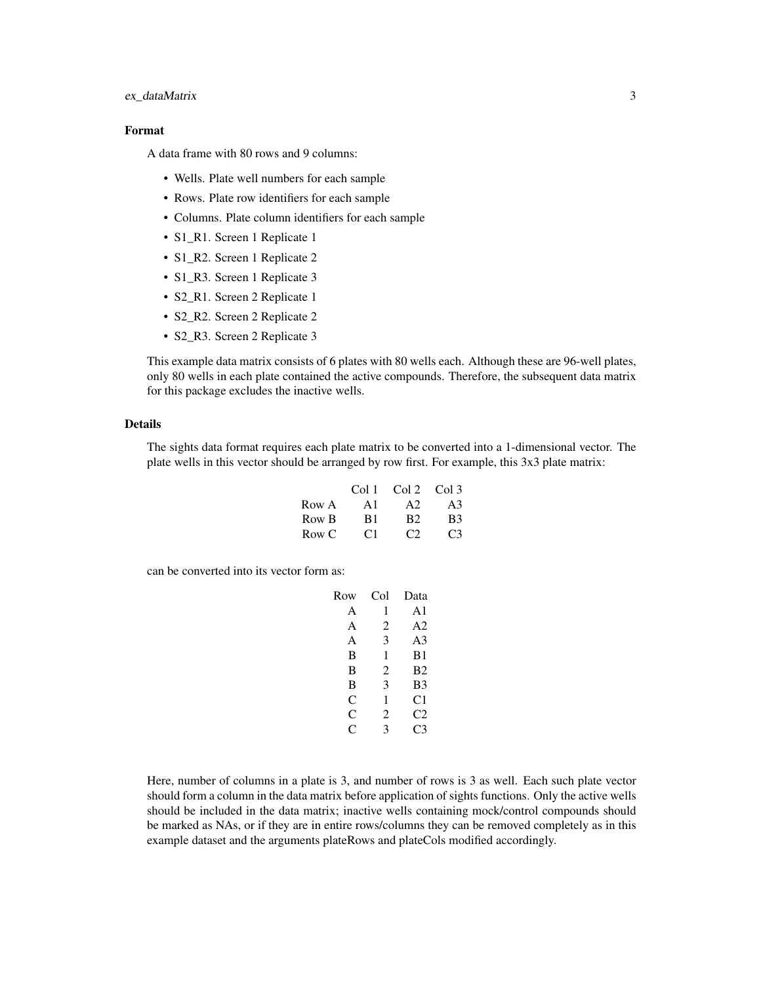#### ex\_dataMatrix 3

# Format

A data frame with 80 rows and 9 columns:

- Wells. Plate well numbers for each sample
- Rows. Plate row identifiers for each sample
- Columns. Plate column identifiers for each sample
- S1\_R1. Screen 1 Replicate 1
- S1\_R2. Screen 1 Replicate 2
- S1\_R3. Screen 1 Replicate 3
- S2\_R1. Screen 2 Replicate 1
- S2\_R2. Screen 2 Replicate 2
- S2\_R3. Screen 2 Replicate 3

This example data matrix consists of 6 plates with 80 wells each. Although these are 96-well plates, only 80 wells in each plate contained the active compounds. Therefore, the subsequent data matrix for this package excludes the inactive wells.

# Details

The sights data format requires each plate matrix to be converted into a 1-dimensional vector. The plate wells in this vector should be arranged by row first. For example, this 3x3 plate matrix:

|       | Col 1 | $Col2$ Col 3          |                       |
|-------|-------|-----------------------|-----------------------|
| Row A | A1    | A2                    | A3                    |
| Row B | B1    | <b>B</b> <sub>2</sub> | <b>B</b> <sub>3</sub> |
| Row C | C1    | C2                    | C <sub>3</sub>        |

can be converted into its vector form as:

| Row | Col | Data           |
|-----|-----|----------------|
| A   | 1   | A1             |
| A   | 2   | A2             |
| A   | 3   | A <sub>3</sub> |
| B   | 1   | B <sub>1</sub> |
| B   | 2   | B <sub>2</sub> |
| B   | 3   | B <sub>3</sub> |
| C   | 1   | C1             |
| C   | 2   | C2             |
| C   | 3   | C <sub>3</sub> |
|     |     |                |

Here, number of columns in a plate is 3, and number of rows is 3 as well. Each such plate vector should form a column in the data matrix before application of sights functions. Only the active wells should be included in the data matrix; inactive wells containing mock/control compounds should be marked as NAs, or if they are in entire rows/columns they can be removed completely as in this example dataset and the arguments plateRows and plateCols modified accordingly.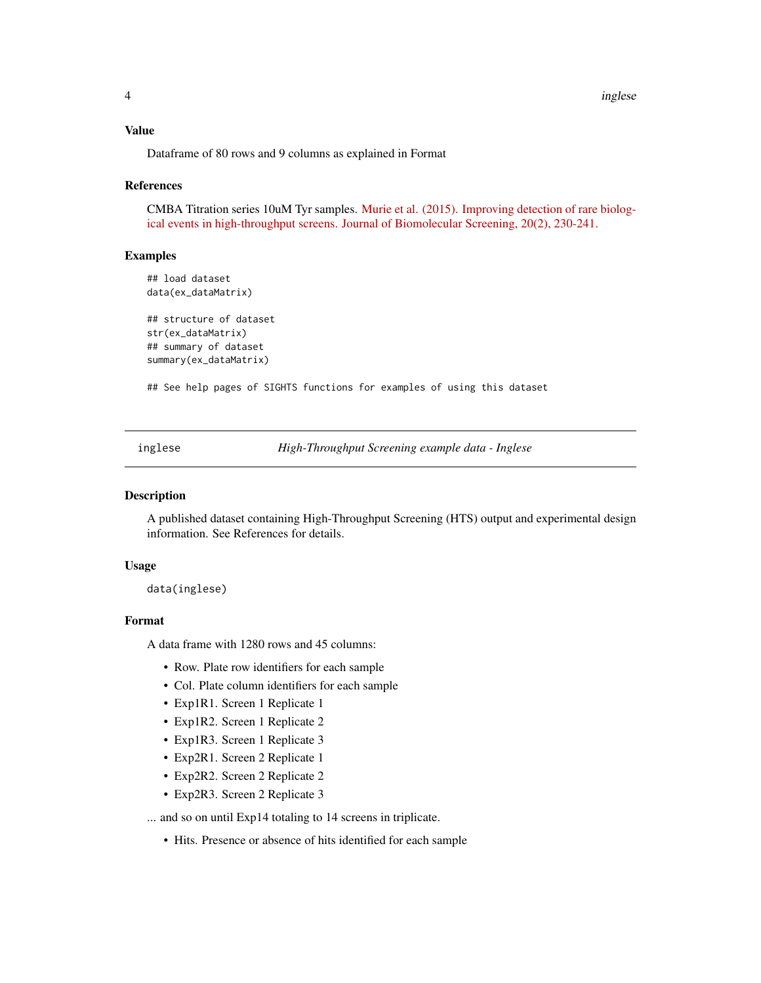<span id="page-3-0"></span>4 inglese

#### Value

Dataframe of 80 rows and 9 columns as explained in Format

#### References

CMBA Titration series 10uM Tyr samples. [Murie et al. \(2015\). Improving detection of rare biolog](http://www.ncbi.nlm.nih.gov/pubmed/25190066)[ical events in high-throughput screens. Journal of Biomolecular Screening, 20\(2\), 230-241.](http://www.ncbi.nlm.nih.gov/pubmed/25190066)

#### Examples

## load dataset data(ex\_dataMatrix) ## structure of dataset str(ex\_dataMatrix) ## summary of dataset summary(ex\_dataMatrix)

## See help pages of SIGHTS functions for examples of using this dataset

inglese *High-Throughput Screening example data - Inglese*

#### Description

A published dataset containing High-Throughput Screening (HTS) output and experimental design information. See References for details.

#### Usage

data(inglese)

# Format

A data frame with 1280 rows and 45 columns:

- Row. Plate row identifiers for each sample
- Col. Plate column identifiers for each sample
- Exp1R1. Screen 1 Replicate 1
- Exp1R2. Screen 1 Replicate 2
- Exp1R3. Screen 1 Replicate 3
- Exp2R1. Screen 2 Replicate 1
- Exp2R2. Screen 2 Replicate 2
- Exp2R3. Screen 2 Replicate 3

... and so on until Exp14 totaling to 14 screens in triplicate.

• Hits. Presence or absence of hits identified for each sample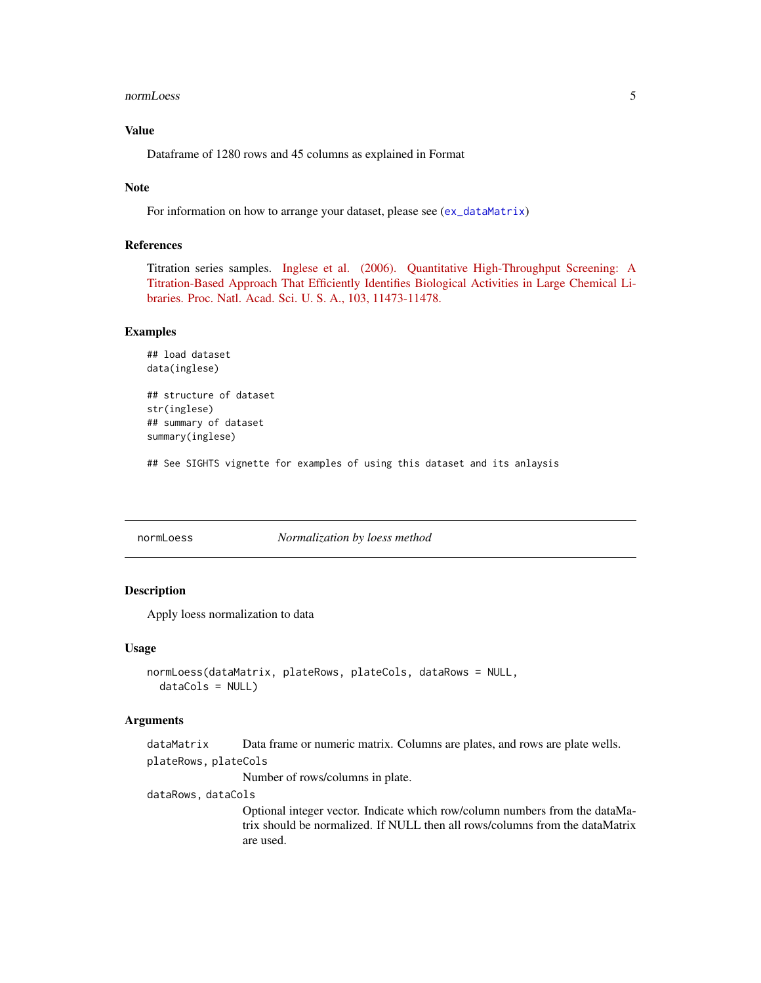<span id="page-4-0"></span>normLoess 5

# Value

Dataframe of 1280 rows and 45 columns as explained in Format

#### Note

For information on how to arrange your dataset, please see ([ex\\_dataMatrix](#page-1-1))

#### References

Titration series samples. [Inglese et al. \(2006\). Quantitative High-Throughput Screening: A](http://www.ncbi.nlm.nih.gov/pmc/articles/PMC1518803/) [Titration-Based Approach That Efficiently Identifies Biological Activities in Large Chemical Li](http://www.ncbi.nlm.nih.gov/pmc/articles/PMC1518803/)[braries. Proc. Natl. Acad. Sci. U. S. A., 103, 11473-11478.](http://www.ncbi.nlm.nih.gov/pmc/articles/PMC1518803/)

#### Examples

```
## load dataset
data(inglese)
```
## structure of dataset str(inglese) ## summary of dataset summary(inglese)

## See SIGHTS vignette for examples of using this dataset and its anlaysis

<span id="page-4-1"></span>

#### normLoess *Normalization by loess method*

# Description

Apply loess normalization to data

#### Usage

```
normLoess(dataMatrix, plateRows, plateCols, dataRows = NULL,
  dataCols = NULL)
```
#### Arguments

```
dataMatrix Data frame or numeric matrix. Columns are plates, and rows are plate wells.
plateRows, plateCols
```
Number of rows/columns in plate.

dataRows, dataCols

Optional integer vector. Indicate which row/column numbers from the dataMatrix should be normalized. If NULL then all rows/columns from the dataMatrix are used.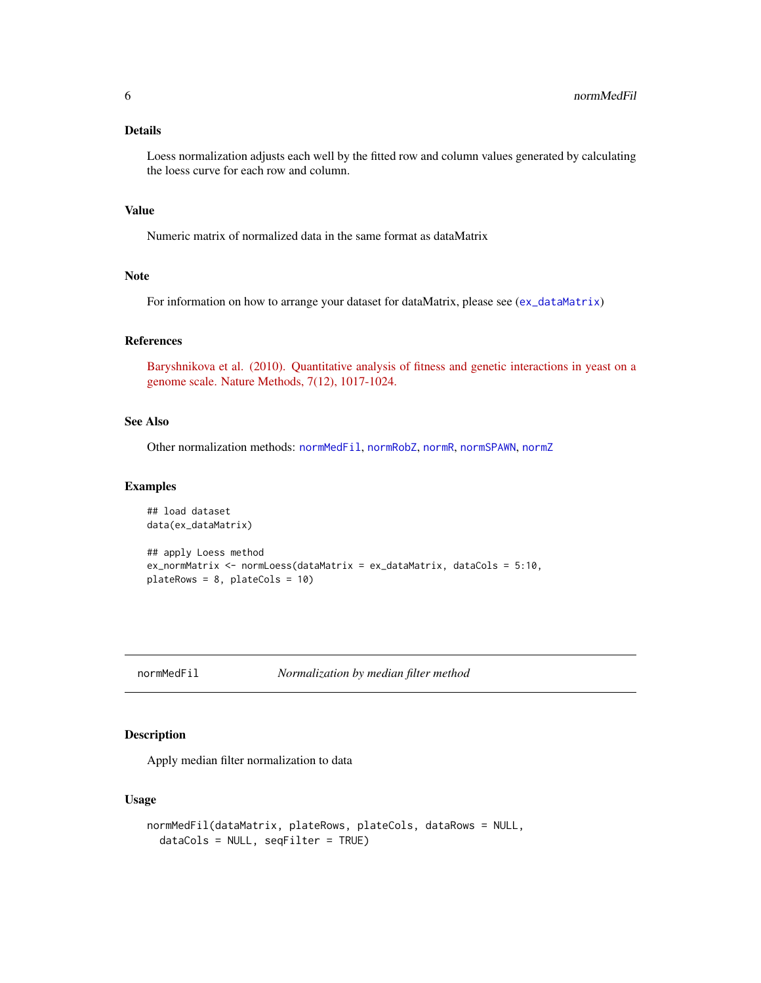# <span id="page-5-0"></span>Details

Loess normalization adjusts each well by the fitted row and column values generated by calculating the loess curve for each row and column.

# Value

Numeric matrix of normalized data in the same format as dataMatrix

# Note

For information on how to arrange your dataset for dataMatrix, please see ([ex\\_dataMatrix](#page-1-1))

# References

[Baryshnikova et al. \(2010\). Quantitative analysis of fitness and genetic interactions in yeast on a](http://www.ncbi.nlm.nih.gov/pmc/articles/PMC3117325/) [genome scale. Nature Methods, 7\(12\), 1017-1024.](http://www.ncbi.nlm.nih.gov/pmc/articles/PMC3117325/)

#### See Also

Other normalization methods: [normMedFil](#page-5-1), [normRobZ](#page-8-1), [normR](#page-7-1), [normSPAWN](#page-10-1), [normZ](#page-12-1)

#### Examples

```
## load dataset
data(ex_dataMatrix)
## apply Loess method
ex_normMatrix <- normLoess(dataMatrix = ex_dataMatrix, dataCols = 5:10,
plateRows = 8, plateCols = 10)
```

```
normMedFil Normalization by median filter method
```
#### Description

Apply median filter normalization to data

#### Usage

```
normMedFil(dataMatrix, plateRows, plateCols, dataRows = NULL,
  dataCols = NULL, seqFilter = TRUE)
```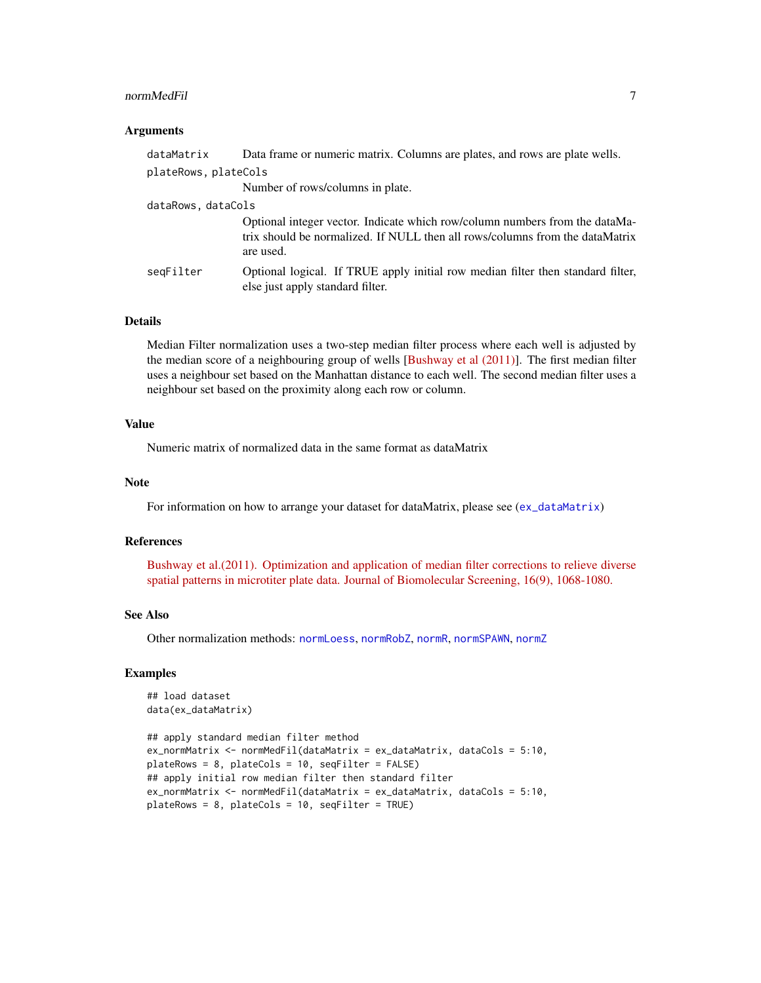#### <span id="page-6-0"></span>normMedFil 7 and 7 and 7 and 7 and 7 and 7 and 7 and 7 and 7 and 7 and 7 and 7 and 7 and 7 and 7 and 7 and 7 and 7 and 7 and 7 and 7 and 7 and 7 and 7 and 7 and 7 and 7 and 7 and 7 and 7 and 7 and 7 and 7 and 7 and 7 and 7

#### **Arguments**

| dataMatrix           | Data frame or numeric matrix. Columns are plates, and rows are plate wells.                                                                                              |
|----------------------|--------------------------------------------------------------------------------------------------------------------------------------------------------------------------|
| plateRows, plateCols |                                                                                                                                                                          |
|                      | Number of rows/columns in plate.                                                                                                                                         |
| dataRows, dataCols   |                                                                                                                                                                          |
|                      | Optional integer vector. Indicate which row/column numbers from the dataMa-<br>trix should be normalized. If NULL then all rows/columns from the dataMatrix<br>are used. |
| seqFilter            | Optional logical. If TRUE apply initial row median filter then standard filter,<br>else just apply standard filter.                                                      |

# Details

Median Filter normalization uses a two-step median filter process where each well is adjusted by the median score of a neighbouring group of wells [\[Bushway et al \(2011\)\]](http://www.ncbi.nlm.nih.gov/pubmed/21900202). The first median filter uses a neighbour set based on the Manhattan distance to each well. The second median filter uses a neighbour set based on the proximity along each row or column.

# Value

Numeric matrix of normalized data in the same format as dataMatrix

#### Note

For information on how to arrange your dataset for dataMatrix, please see ([ex\\_dataMatrix](#page-1-1))

#### References

[Bushway et al.\(2011\). Optimization and application of median filter corrections to relieve diverse](http://www.ncbi.nlm.nih.gov/pubmed/21900202) [spatial patterns in microtiter plate data. Journal of Biomolecular Screening, 16\(9\), 1068-1080.](http://www.ncbi.nlm.nih.gov/pubmed/21900202)

### See Also

Other normalization methods: [normLoess](#page-4-1), [normRobZ](#page-8-1), [normR](#page-7-1), [normSPAWN](#page-10-1), [normZ](#page-12-1)

#### Examples

```
## load dataset
data(ex_dataMatrix)
```

```
## apply standard median filter method
ex_normMatrix <- normMedFil(dataMatrix = ex_dataMatrix, dataCols = 5:10,
plateRows = 8, plateCols = 10, seqFilter = FALSE)
## apply initial row median filter then standard filter
ex_normMatrix <- normMedFil(dataMatrix = ex_dataMatrix, dataCols = 5:10,
plateRows = 8, plateCols = 10, seqFilter = TRUE)
```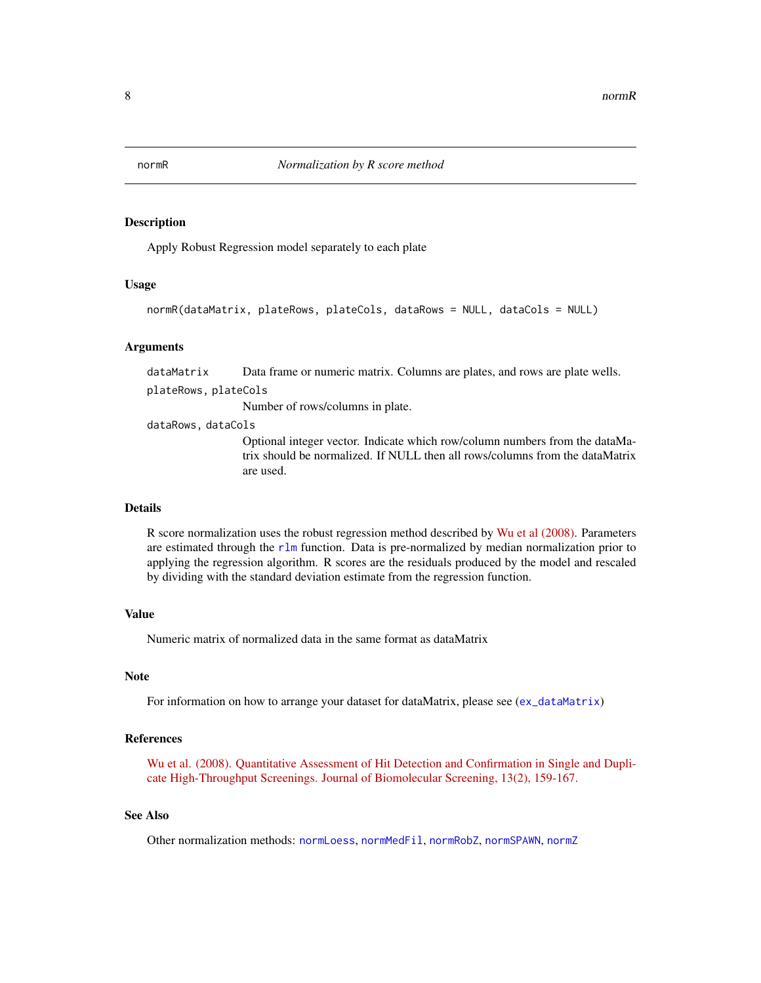<span id="page-7-1"></span><span id="page-7-0"></span>

#### Description

Apply Robust Regression model separately to each plate

#### Usage

```
normR(dataMatrix, plateRows, plateCols, dataRows = NULL, dataCols = NULL)
```
#### Arguments

dataMatrix Data frame or numeric matrix. Columns are plates, and rows are plate wells. plateRows, plateCols

Number of rows/columns in plate.

dataRows, dataCols

Optional integer vector. Indicate which row/column numbers from the dataMatrix should be normalized. If NULL then all rows/columns from the dataMatrix are used.

#### Details

R score normalization uses the robust regression method described by [Wu et al \(2008\).](http://www.ncbi.nlm.nih.gov/pubmed/18216390) Parameters are estimated through the [rlm](#page-0-0) function. Data is pre-normalized by median normalization prior to applying the regression algorithm. R scores are the residuals produced by the model and rescaled by dividing with the standard deviation estimate from the regression function.

### Value

Numeric matrix of normalized data in the same format as dataMatrix

# Note

For information on how to arrange your dataset for dataMatrix, please see ([ex\\_dataMatrix](#page-1-1))

## References

[Wu et al. \(2008\). Quantitative Assessment of Hit Detection and Confirmation in Single and Dupli](http://www.ncbi.nlm.nih.gov/pubmed/18216390)[cate High-Throughput Screenings. Journal of Biomolecular Screening, 13\(2\), 159-167.](http://www.ncbi.nlm.nih.gov/pubmed/18216390)

# See Also

Other normalization methods: [normLoess](#page-4-1), [normMedFil](#page-5-1), [normRobZ](#page-8-1), [normSPAWN](#page-10-1), [normZ](#page-12-1)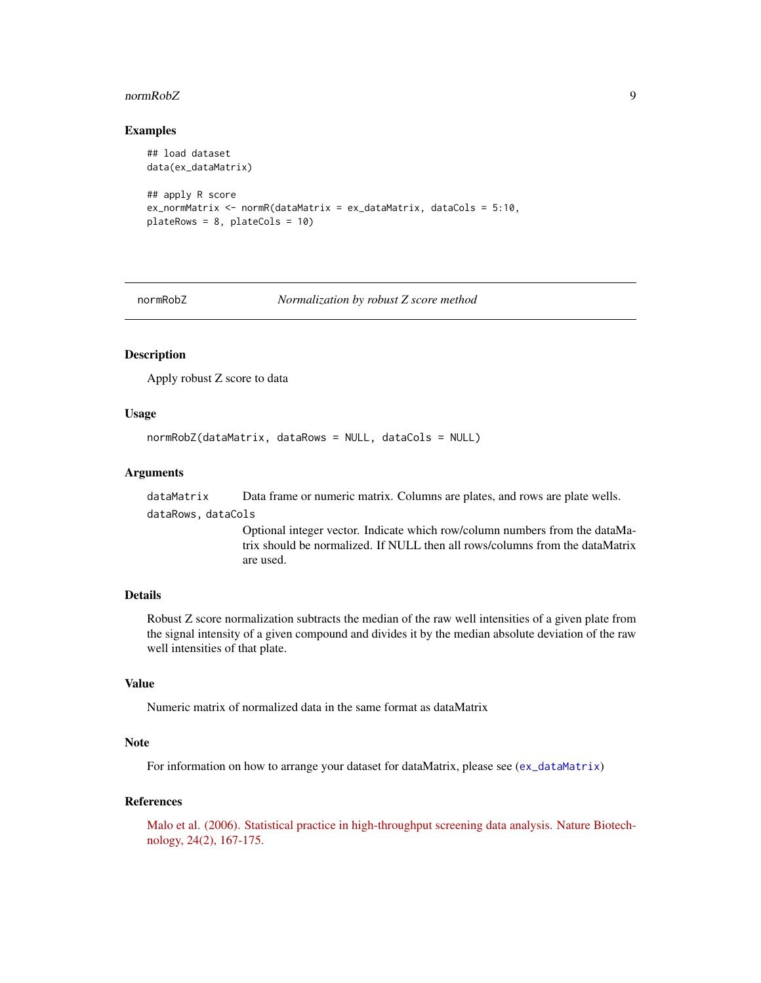#### <span id="page-8-0"></span>normRobZ 9

#### Examples

```
## load dataset
data(ex_dataMatrix)
## apply R score
ex_normMatrix <- normR(dataMatrix = ex_dataMatrix, dataCols = 5:10,
plateRows = 8, plateCols = 10)
```
<span id="page-8-1"></span>normRobZ *Normalization by robust Z score method*

# Description

Apply robust Z score to data

#### Usage

```
normRobZ(dataMatrix, dataRows = NULL, dataCols = NULL)
```
# Arguments

dataMatrix Data frame or numeric matrix. Columns are plates, and rows are plate wells.

dataRows, dataCols

Optional integer vector. Indicate which row/column numbers from the dataMatrix should be normalized. If NULL then all rows/columns from the dataMatrix are used.

#### Details

Robust Z score normalization subtracts the median of the raw well intensities of a given plate from the signal intensity of a given compound and divides it by the median absolute deviation of the raw well intensities of that plate.

#### Value

Numeric matrix of normalized data in the same format as dataMatrix

# Note

For information on how to arrange your dataset for dataMatrix, please see ([ex\\_dataMatrix](#page-1-1))

# References

[Malo et al. \(2006\). Statistical practice in high-throughput screening data analysis. Nature Biotech](http://www.ncbi.nlm.nih.gov/pubmed/16465162)[nology, 24\(2\), 167-175.](http://www.ncbi.nlm.nih.gov/pubmed/16465162)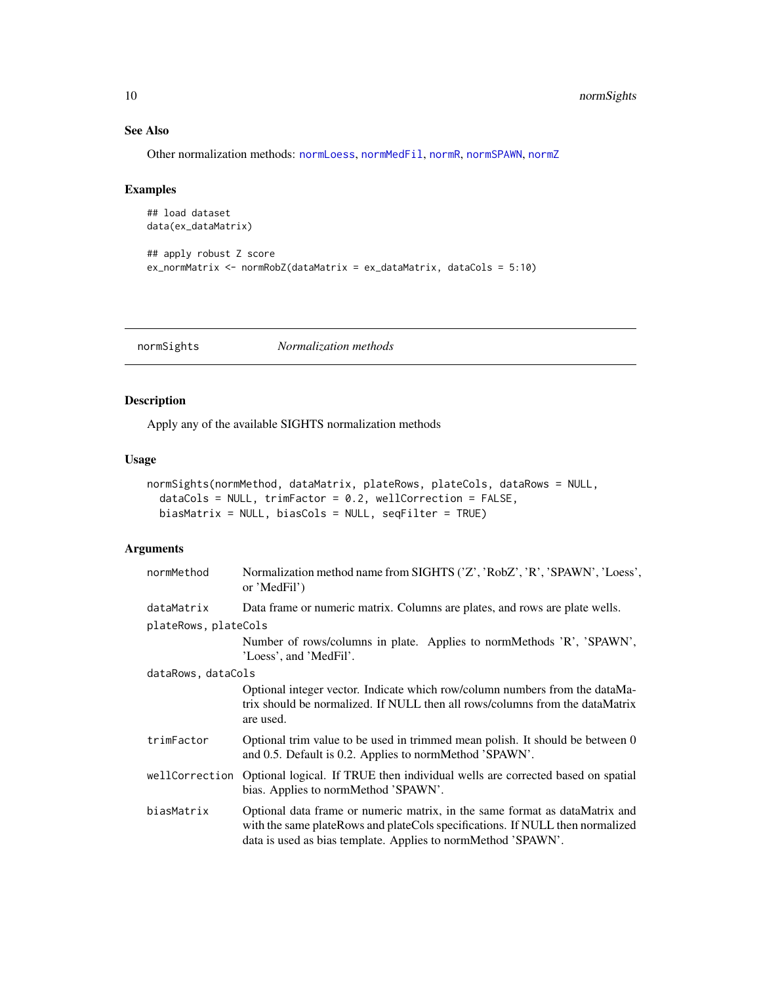# See Also

Other normalization methods: [normLoess](#page-4-1), [normMedFil](#page-5-1), [normR](#page-7-1), [normSPAWN](#page-10-1), [normZ](#page-12-1)

#### Examples

```
## load dataset
data(ex_dataMatrix)
## apply robust Z score
ex_normMatrix <- normRobZ(dataMatrix = ex_dataMatrix, dataCols = 5:10)
```
<span id="page-9-1"></span>normSights *Normalization methods*

# Description

Apply any of the available SIGHTS normalization methods

#### Usage

```
normSights(normMethod, dataMatrix, plateRows, plateCols, dataRows = NULL,
  dataCols = NULL, trimFactor = 0.2, wellCorrection = FALSE,
 biasMatrix = NULL, biasCols = NULL, seqFilter = TRUE)
```
#### Arguments

| normMethod           | Normalization method name from SIGHTS ('Z', 'RobZ', 'R', 'SPAWN', 'Loess',<br>or 'MedFil')                                                                                                                                    |  |
|----------------------|-------------------------------------------------------------------------------------------------------------------------------------------------------------------------------------------------------------------------------|--|
| dataMatrix           | Data frame or numeric matrix. Columns are plates, and rows are plate wells.                                                                                                                                                   |  |
| plateRows, plateCols |                                                                                                                                                                                                                               |  |
|                      | Number of rows/columns in plate. Applies to normMethods 'R', 'SPAWN',<br>'Loess', and 'MedFil'.                                                                                                                               |  |
| dataRows, dataCols   |                                                                                                                                                                                                                               |  |
|                      | Optional integer vector. Indicate which row/column numbers from the dataMa-<br>trix should be normalized. If NULL then all rows/columns from the dataMatrix<br>are used.                                                      |  |
| trimFactor           | Optional trim value to be used in trimmed mean polish. It should be between 0<br>and 0.5. Default is 0.2. Applies to normMethod 'SPAWN'.                                                                                      |  |
| wellCorrection       | Optional logical. If TRUE then individual wells are corrected based on spatial<br>bias. Applies to normMethod 'SPAWN'.                                                                                                        |  |
| biasMatrix           | Optional data frame or numeric matrix, in the same format as dataMatrix and<br>with the same plateRows and plateCols specifications. If NULL then normalized<br>data is used as bias template. Applies to normMethod 'SPAWN'. |  |

<span id="page-9-0"></span>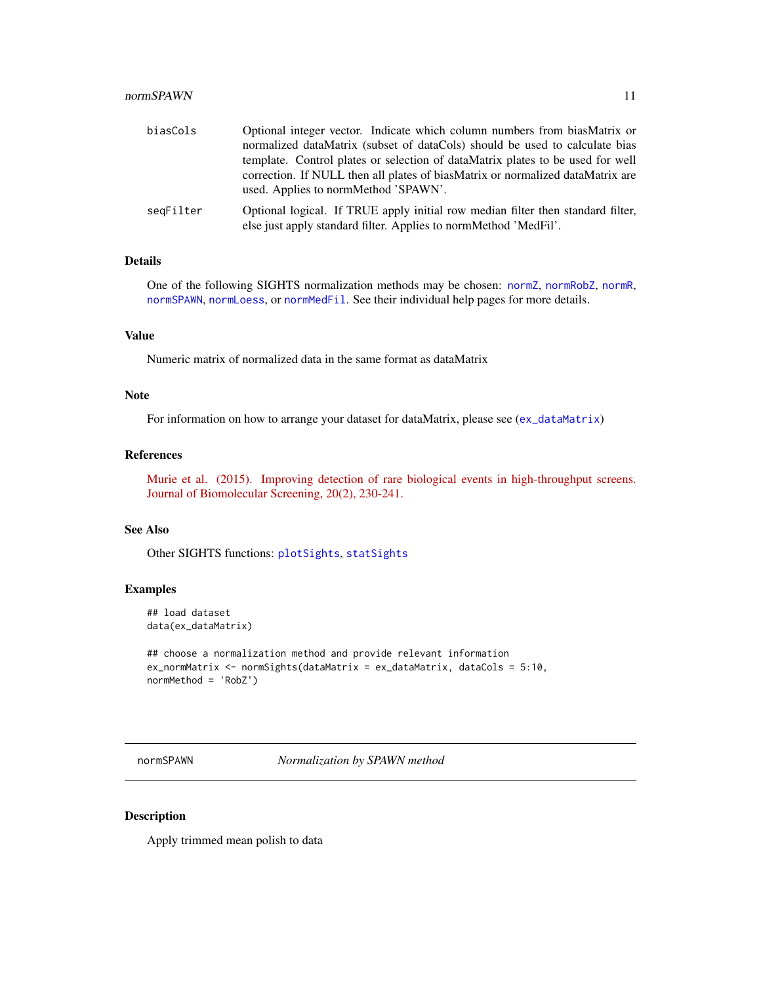#### <span id="page-10-0"></span>normSPAWN 11

| biasCols  | Optional integer vector. Indicate which column numbers from biasMatrix or<br>normalized dataMatrix (subset of dataCols) should be used to calculate bias |
|-----------|----------------------------------------------------------------------------------------------------------------------------------------------------------|
|           | template. Control plates or selection of dataMatrix plates to be used for well                                                                           |
|           | correction. If NULL then all plates of biasMatrix or normalized dataMatrix are<br>used. Applies to normMethod 'SPAWN'.                                   |
| seqFilter | Optional logical. If TRUE apply initial row median filter then standard filter,<br>else just apply standard filter. Applies to normMethod 'MedFil'.      |

# Details

One of the following SIGHTS normalization methods may be chosen: [normZ](#page-12-1), [normRobZ](#page-8-1), [normR](#page-7-1), [normSPAWN](#page-10-1), [normLoess](#page-4-1), or [normMedFil](#page-5-1). See their individual help pages for more details.

# Value

Numeric matrix of normalized data in the same format as dataMatrix

#### Note

For information on how to arrange your dataset for dataMatrix, please see ([ex\\_dataMatrix](#page-1-1))

#### References

[Murie et al. \(2015\). Improving detection of rare biological events in high-throughput screens.](http://www.ncbi.nlm.nih.gov/pubmed/25190066) [Journal of Biomolecular Screening, 20\(2\), 230-241.](http://www.ncbi.nlm.nih.gov/pubmed/25190066)

# See Also

Other SIGHTS functions: [plotSights](#page-21-1), [statSights](#page-26-1)

#### Examples

```
## load dataset
data(ex_dataMatrix)
```

```
## choose a normalization method and provide relevant information
ex_normMatrix <- normSights(dataMatrix = ex_dataMatrix, dataCols = 5:10,
normMethod = 'RobZ')
```
<span id="page-10-1"></span>normSPAWN *Normalization by SPAWN method*

#### Description

Apply trimmed mean polish to data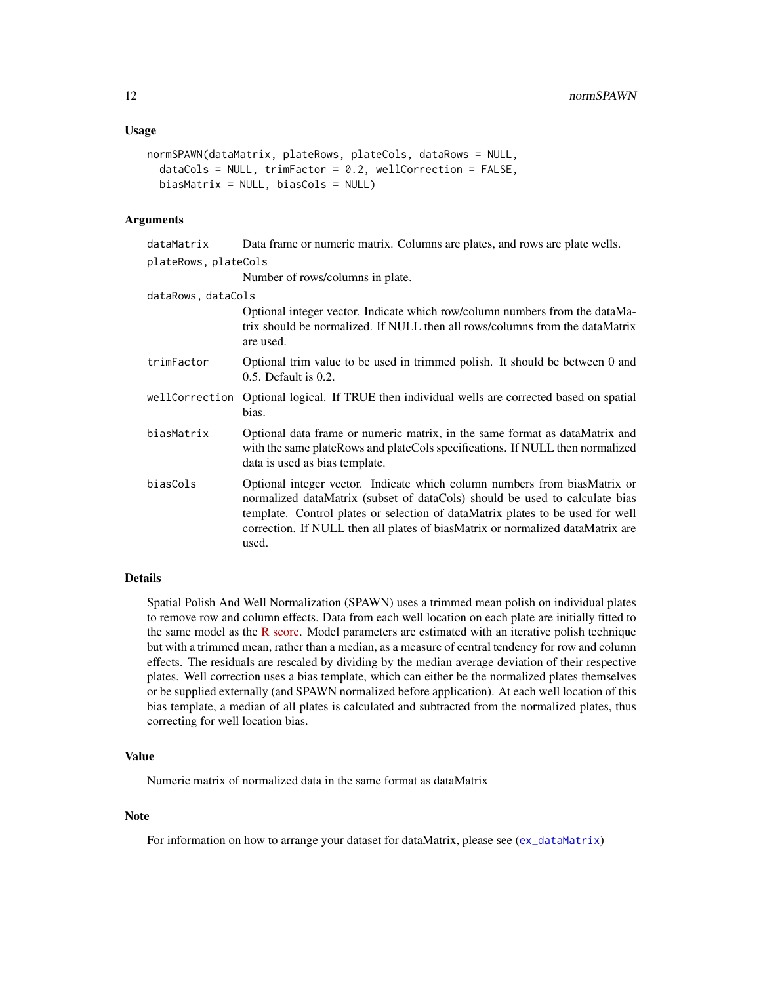```
normSPAWN(dataMatrix, plateRows, plateCols, dataRows = NULL,
  dataCols = NULL, trimFactor = 0.2, wellCorrection = FALSE,
 biasMatrix = NULL, biasCols = NULL)
```
#### Arguments

| dataMatrix          | Data frame or numeric matrix. Columns are plates, and rows are plate wells. |  |
|---------------------|-----------------------------------------------------------------------------|--|
| plateRows.plateCols |                                                                             |  |

Number of rows/columns in plate.

dataRows, dataCols Optional integer vector. Indicate which row/column numbers from the dataMatrix should be normalized. If NULL then all rows/columns from the dataMatrix are used. trimFactor Optional trim value to be used in trimmed polish. It should be between 0 and 0.5. Default is 0.2.

- wellCorrection Optional logical. If TRUE then individual wells are corrected based on spatial bias.
- biasMatrix Optional data frame or numeric matrix, in the same format as dataMatrix and with the same plateRows and plateCols specifications. If NULL then normalized data is used as bias template.
- biasCols Optional integer vector. Indicate which column numbers from biasMatrix or normalized dataMatrix (subset of dataCols) should be used to calculate bias template. Control plates or selection of dataMatrix plates to be used for well correction. If NULL then all plates of biasMatrix or normalized dataMatrix are used.

# Details

Spatial Polish And Well Normalization (SPAWN) uses a trimmed mean polish on individual plates to remove row and column effects. Data from each well location on each plate are initially fitted to the same model as the [R score.](http://jbx.sagepub.com/content/13/2/159.short) Model parameters are estimated with an iterative polish technique but with a trimmed mean, rather than a median, as a measure of central tendency for row and column effects. The residuals are rescaled by dividing by the median average deviation of their respective plates. Well correction uses a bias template, which can either be the normalized plates themselves or be supplied externally (and SPAWN normalized before application). At each well location of this bias template, a median of all plates is calculated and subtracted from the normalized plates, thus correcting for well location bias.

#### Value

Numeric matrix of normalized data in the same format as dataMatrix

#### **Note**

For information on how to arrange your dataset for dataMatrix, please see ([ex\\_dataMatrix](#page-1-1))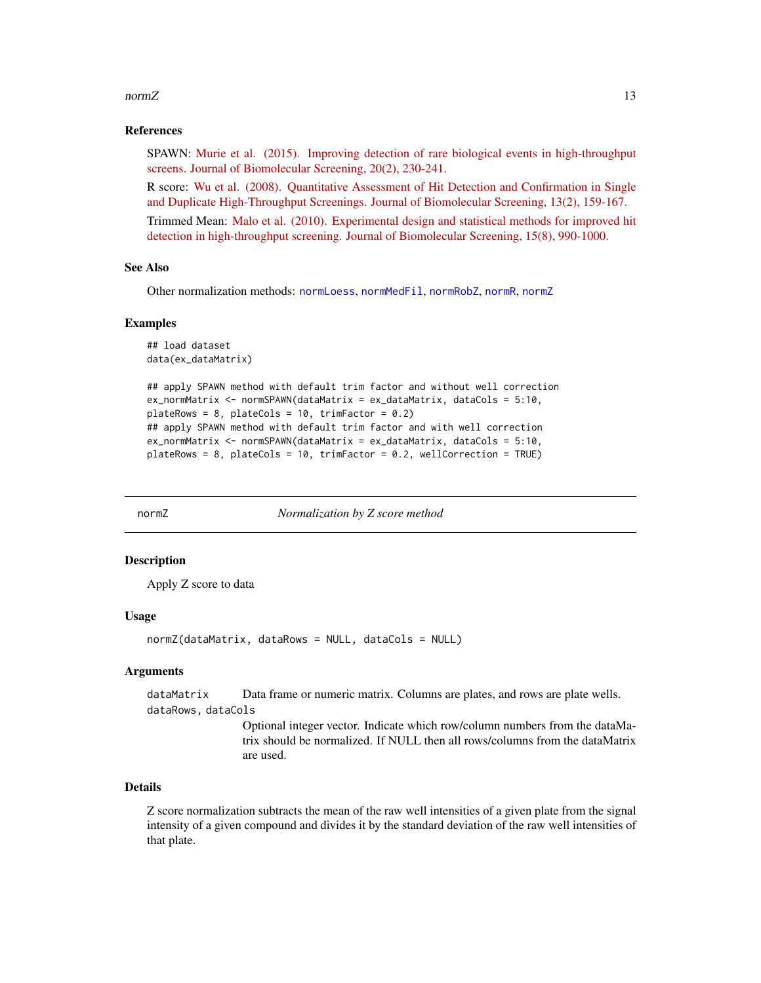#### <span id="page-12-0"></span> $normZ$  and  $13$

#### References

SPAWN: [Murie et al. \(2015\). Improving detection of rare biological events in high-throughput](http://www.ncbi.nlm.nih.gov/pubmed/25190066) [screens. Journal of Biomolecular Screening, 20\(2\), 230-241.](http://www.ncbi.nlm.nih.gov/pubmed/25190066)

R score: [Wu et al. \(2008\). Quantitative Assessment of Hit Detection and Confirmation in Single](http://www.ncbi.nlm.nih.gov/pubmed/18216390) [and Duplicate High-Throughput Screenings. Journal of Biomolecular Screening, 13\(2\), 159-167.](http://www.ncbi.nlm.nih.gov/pubmed/18216390)

Trimmed Mean: [Malo et al. \(2010\). Experimental design and statistical methods for improved hit](http://www.ncbi.nlm.nih.gov/pubmed/20817887) [detection in high-throughput screening. Journal of Biomolecular Screening, 15\(8\), 990-1000.](http://www.ncbi.nlm.nih.gov/pubmed/20817887)

#### See Also

Other normalization methods: [normLoess](#page-4-1), [normMedFil](#page-5-1), [normRobZ](#page-8-1), [normR](#page-7-1), [normZ](#page-12-1)

#### Examples

```
## load dataset
data(ex_dataMatrix)
```

```
## apply SPAWN method with default trim factor and without well correction
ex_normMatrix <- normSPAWN(dataMatrix = ex_dataMatrix, dataCols = 5:10,
plateRows = 8, plateCols = 10, trimFactor = 0.2)
## apply SPAWN method with default trim factor and with well correction
ex_normMatrix <- normSPAWN(dataMatrix = ex_dataMatrix, dataCols = 5:10,
plateRows = 8, plateCols = 10, trimFactor = 0.2, wellCorrection = TRUE)
```
<span id="page-12-1"></span>

normZ *Normalization by Z score method*

#### Description

Apply Z score to data

#### Usage

normZ(dataMatrix, dataRows = NULL, dataCols = NULL)

#### Arguments

dataMatrix Data frame or numeric matrix. Columns are plates, and rows are plate wells. dataRows, dataCols

> Optional integer vector. Indicate which row/column numbers from the dataMatrix should be normalized. If NULL then all rows/columns from the dataMatrix are used.

# Details

Z score normalization subtracts the mean of the raw well intensities of a given plate from the signal intensity of a given compound and divides it by the standard deviation of the raw well intensities of that plate.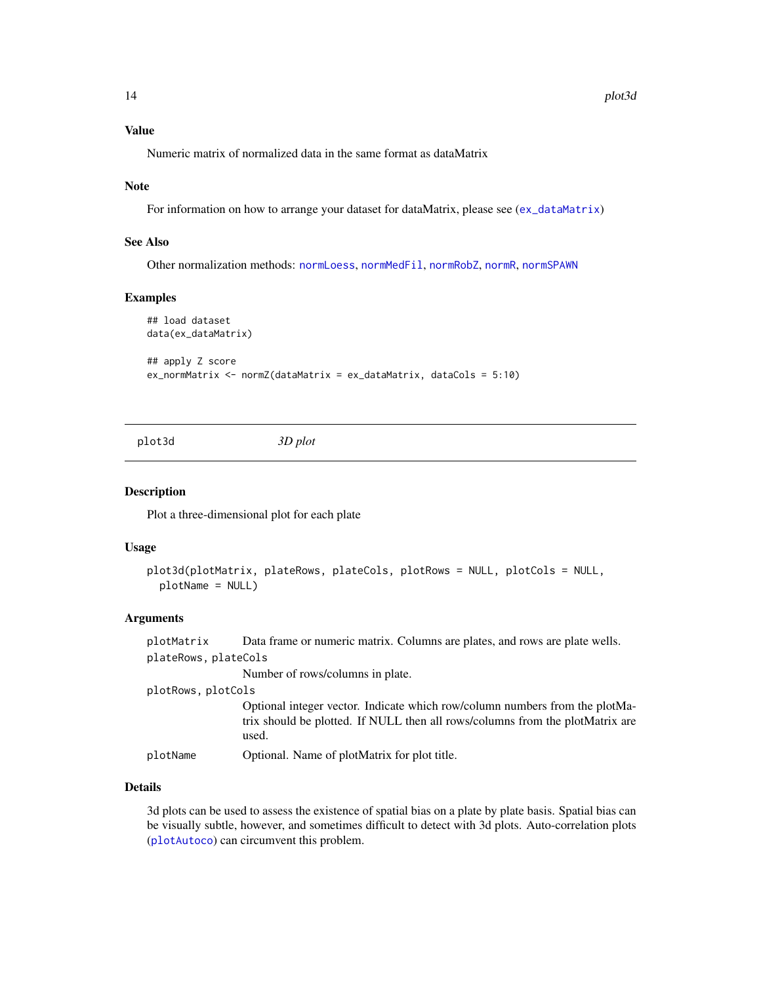# <span id="page-13-0"></span>Value

Numeric matrix of normalized data in the same format as dataMatrix

#### Note

For information on how to arrange your dataset for dataMatrix, please see ([ex\\_dataMatrix](#page-1-1))

#### See Also

Other normalization methods: [normLoess](#page-4-1), [normMedFil](#page-5-1), [normRobZ](#page-8-1), [normR](#page-7-1), [normSPAWN](#page-10-1)

#### Examples

```
## load dataset
data(ex_dataMatrix)
## apply Z score
ex_normMatrix <- normZ(dataMatrix = ex_dataMatrix, dataCols = 5:10)
```
<span id="page-13-1"></span>

plot3d *3D plot*

# Description

Plot a three-dimensional plot for each plate

#### Usage

```
plot3d(plotMatrix, plateRows, plateCols, plotRows = NULL, plotCols = NULL,
 plotName = NULL)
```
#### Arguments

plotMatrix Data frame or numeric matrix. Columns are plates, and rows are plate wells. plateRows, plateCols

Number of rows/columns in plate.

plotRows, plotCols

Optional integer vector. Indicate which row/column numbers from the plotMatrix should be plotted. If NULL then all rows/columns from the plotMatrix are used.

plotName Optional. Name of plotMatrix for plot title.

# Details

3d plots can be used to assess the existence of spatial bias on a plate by plate basis. Spatial bias can be visually subtle, however, and sometimes difficult to detect with 3d plots. Auto-correlation plots ([plotAutoco](#page-14-1)) can circumvent this problem.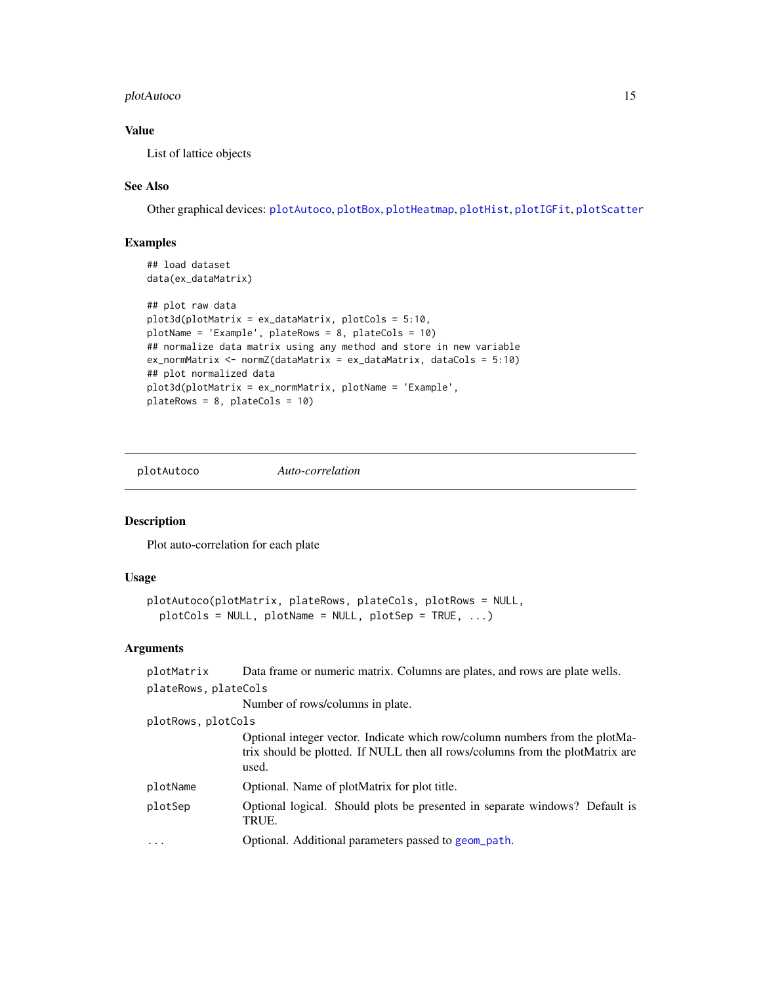# <span id="page-14-0"></span>plotAutoco 15

# Value

List of lattice objects

# See Also

Other graphical devices: [plotAutoco](#page-14-1), [plotBox](#page-15-1), [plotHeatmap](#page-16-1), [plotHist](#page-18-1), [plotIGFit](#page-19-1), [plotScatter](#page-20-1)

# Examples

```
## load dataset
data(ex_dataMatrix)
## plot raw data
plot3d(plotMatrix = ex_dataMatrix, plotCols = 5:10,
plotName = 'Example', plateRows = 8, plateCols = 10)
## normalize data matrix using any method and store in new variable
ex_normMatrix <- normZ(dataMatrix = ex_dataMatrix, dataCols = 5:10)
## plot normalized data
plot3d(plotMatrix = ex_normMatrix, plotName = 'Example',
plateRows = 8, plateCols = 10)
```
<span id="page-14-1"></span>plotAutoco *Auto-correlation*

# Description

Plot auto-correlation for each plate

#### Usage

```
plotAutoco(plotMatrix, plateRows, plateCols, plotRows = NULL,
 plotCols = NULL, plotName = NULL, plotSep = TRUE, ...)
```
# Arguments

| plotMatrix           | Data frame or numeric matrix. Columns are plates, and rows are plate wells.                                                                                           |
|----------------------|-----------------------------------------------------------------------------------------------------------------------------------------------------------------------|
| plateRows, plateCols |                                                                                                                                                                       |
|                      | Number of rows/columns in plate.                                                                                                                                      |
| plotRows, plotCols   |                                                                                                                                                                       |
|                      | Optional integer vector. Indicate which row/column numbers from the plotMa-<br>trix should be plotted. If NULL then all rows/columns from the plotMatrix are<br>used. |
| plotName             | Optional. Name of plotMatrix for plot title.                                                                                                                          |
| plotSep              | Optional logical. Should plots be presented in separate windows? Default is<br>TRUE.                                                                                  |
| $\ddotsc$            | Optional. Additional parameters passed to geom_path.                                                                                                                  |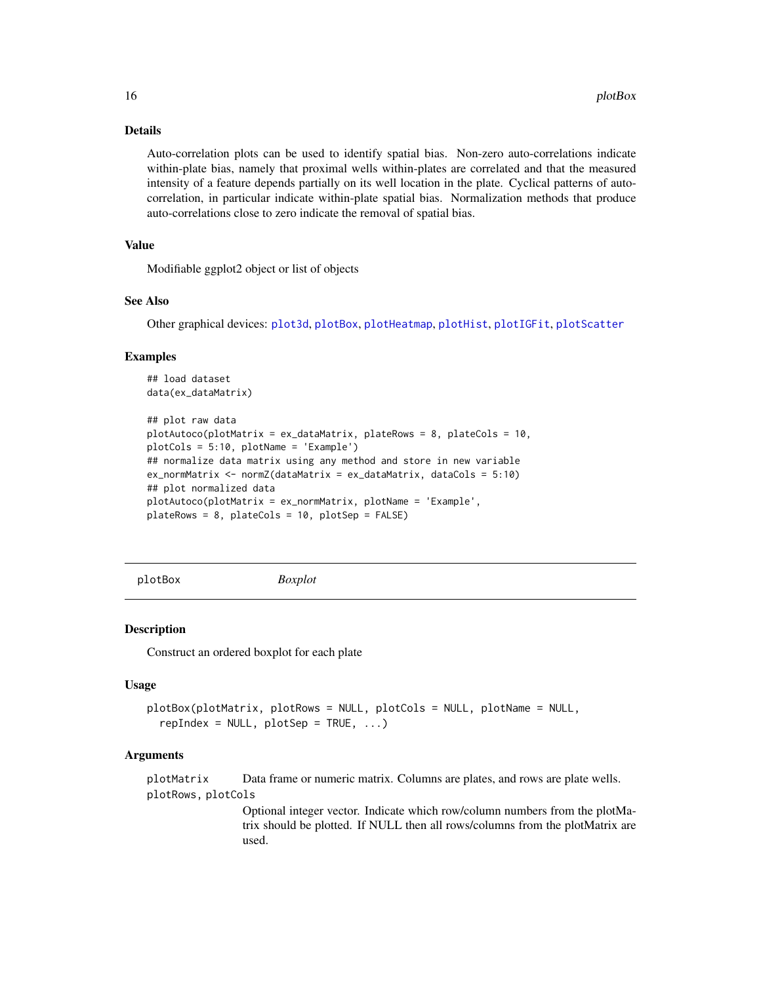#### Details

Auto-correlation plots can be used to identify spatial bias. Non-zero auto-correlations indicate within-plate bias, namely that proximal wells within-plates are correlated and that the measured intensity of a feature depends partially on its well location in the plate. Cyclical patterns of autocorrelation, in particular indicate within-plate spatial bias. Normalization methods that produce auto-correlations close to zero indicate the removal of spatial bias.

# Value

Modifiable ggplot2 object or list of objects

#### See Also

Other graphical devices: [plot3d](#page-13-1), [plotBox](#page-15-1), [plotHeatmap](#page-16-1), [plotHist](#page-18-1), [plotIGFit](#page-19-1), [plotScatter](#page-20-1)

#### Examples

```
## load dataset
data(ex_dataMatrix)
```

```
## plot raw data
plotAutoco(plotMatrix = ex_dataMatrix, plateRows = 8, plateCols = 10,
plotCols = 5:10, plotName = 'Example')
## normalize data matrix using any method and store in new variable
ex_normMatrix <- normZ(dataMatrix = ex_dataMatrix, dataCols = 5:10)
## plot normalized data
plotAutoco(plotMatrix = ex_normMatrix, plotName = 'Example',
plateRows = 8, plateCols = 10, plotSep = FALSE)
```
<span id="page-15-1"></span>plotBox *Boxplot*

#### Description

Construct an ordered boxplot for each plate

#### Usage

```
plotBox(plotMatrix, plotRows = NULL, plotCols = NULL, plotName = NULL,
  repIndex = NULL, plotSep = TRUE, ...)
```
#### Arguments

plotMatrix Data frame or numeric matrix. Columns are plates, and rows are plate wells. plotRows, plotCols

> Optional integer vector. Indicate which row/column numbers from the plotMatrix should be plotted. If NULL then all rows/columns from the plotMatrix are used.

<span id="page-15-0"></span>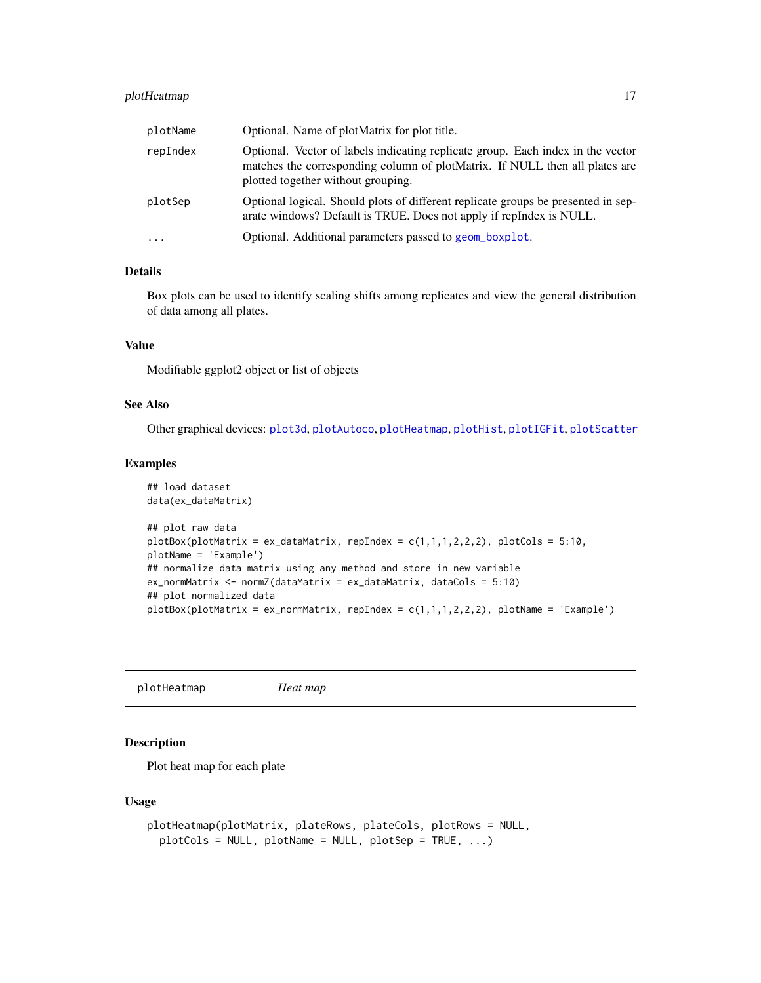# <span id="page-16-0"></span>plotHeatmap 17

| plotName | Optional. Name of plotMatrix for plot title.                                                                                                                                                         |
|----------|------------------------------------------------------------------------------------------------------------------------------------------------------------------------------------------------------|
| repIndex | Optional. Vector of labels indicating replicate group. Each index in the vector<br>matches the corresponding column of plotMatrix. If NULL then all plates are<br>plotted together without grouping. |
| plotSep  | Optional logical. Should plots of different replicate groups be presented in sep-<br>arate windows? Default is TRUE. Does not apply if repIndex is NULL.                                             |
| $\cdots$ | Optional. Additional parameters passed to geom_boxplot.                                                                                                                                              |

# Details

Box plots can be used to identify scaling shifts among replicates and view the general distribution of data among all plates.

#### Value

Modifiable ggplot2 object or list of objects

# See Also

Other graphical devices: [plot3d](#page-13-1), [plotAutoco](#page-14-1), [plotHeatmap](#page-16-1), [plotHist](#page-18-1), [plotIGFit](#page-19-1), [plotScatter](#page-20-1)

#### Examples

```
## load dataset
data(ex_dataMatrix)
## plot raw data
plotBox(plotMatrix = ex_dataMatrix, replIndex = c(1,1,1,2,2,2), plotCols = 5:10,plotName = 'Example')
## normalize data matrix using any method and store in new variable
ex_normMatrix <- normZ(dataMatrix = ex_dataMatrix, dataCols = 5:10)
## plot normalized data
plotBox(plotMatrix = ex\_normMatrix, repIndex = c(1,1,1,2,2,2), plotName = 'Example')
```
<span id="page-16-1"></span>plotHeatmap *Heat map*

#### Description

Plot heat map for each plate

#### Usage

```
plotHeatmap(plotMatrix, plateRows, plateCols, plotRows = NULL,
 plotCols = NULL, plotName = NULL, plotSep = TRUE, ...)
```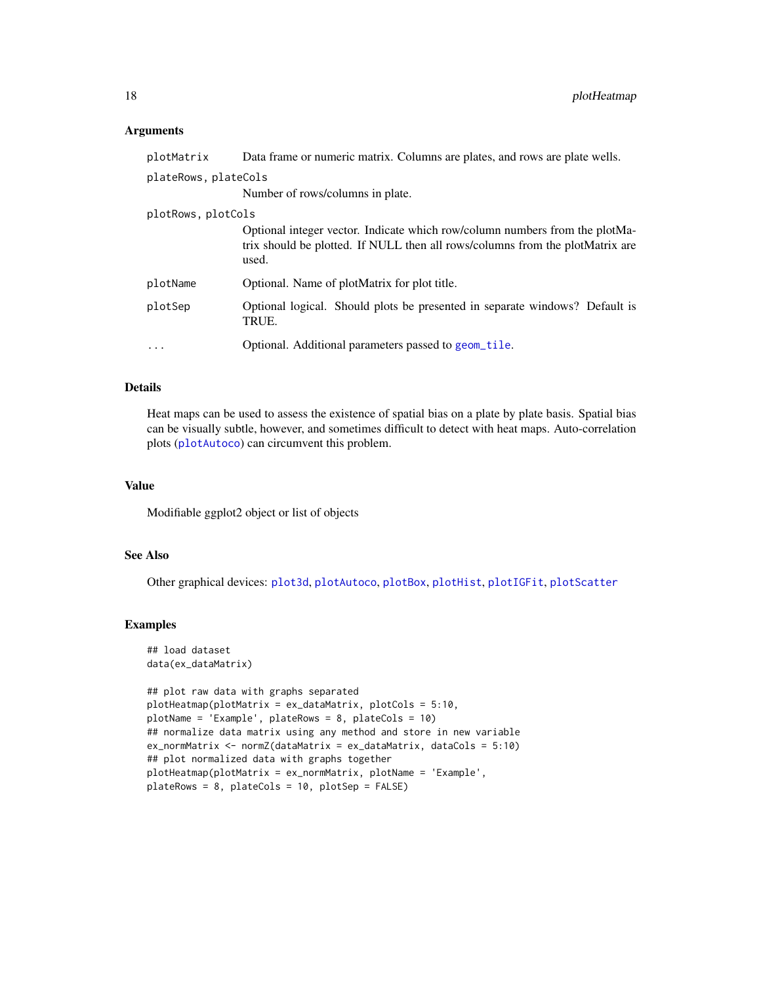#### <span id="page-17-0"></span>**Arguments**

| plotMatrix           | Data frame or numeric matrix. Columns are plates, and rows are plate wells.                                                                                           |
|----------------------|-----------------------------------------------------------------------------------------------------------------------------------------------------------------------|
| plateRows, plateCols |                                                                                                                                                                       |
|                      | Number of rows/columns in plate.                                                                                                                                      |
| plotRows, plotCols   |                                                                                                                                                                       |
|                      | Optional integer vector. Indicate which row/column numbers from the plotMa-<br>trix should be plotted. If NULL then all rows/columns from the plotMatrix are<br>used. |
| plotName             | Optional. Name of plotMatrix for plot title.                                                                                                                          |
| plotSep              | Optional logical. Should plots be presented in separate windows? Default is<br>TRUE.                                                                                  |
| $\cdot$              | Optional. Additional parameters passed to geom_tile.                                                                                                                  |

#### Details

Heat maps can be used to assess the existence of spatial bias on a plate by plate basis. Spatial bias can be visually subtle, however, and sometimes difficult to detect with heat maps. Auto-correlation plots ([plotAutoco](#page-14-1)) can circumvent this problem.

# Value

Modifiable ggplot2 object or list of objects

# See Also

Other graphical devices: [plot3d](#page-13-1), [plotAutoco](#page-14-1), [plotBox](#page-15-1), [plotHist](#page-18-1), [plotIGFit](#page-19-1), [plotScatter](#page-20-1)

# Examples

```
## load dataset
data(ex_dataMatrix)
```

```
## plot raw data with graphs separated
plotHeatmap(plotMatrix = ex_dataMatrix, plotCols = 5:10,
plotName = 'Example', plateRows = 8, plateCols = 10)
## normalize data matrix using any method and store in new variable
ex_normMatrix <- normZ(dataMatrix = ex_dataMatrix, dataCols = 5:10)
## plot normalized data with graphs together
plotHeatmap(plotMatrix = ex_normMatrix, plotName = 'Example',
plateRows = 8, plateCols = 10, plotSep = FALSE)
```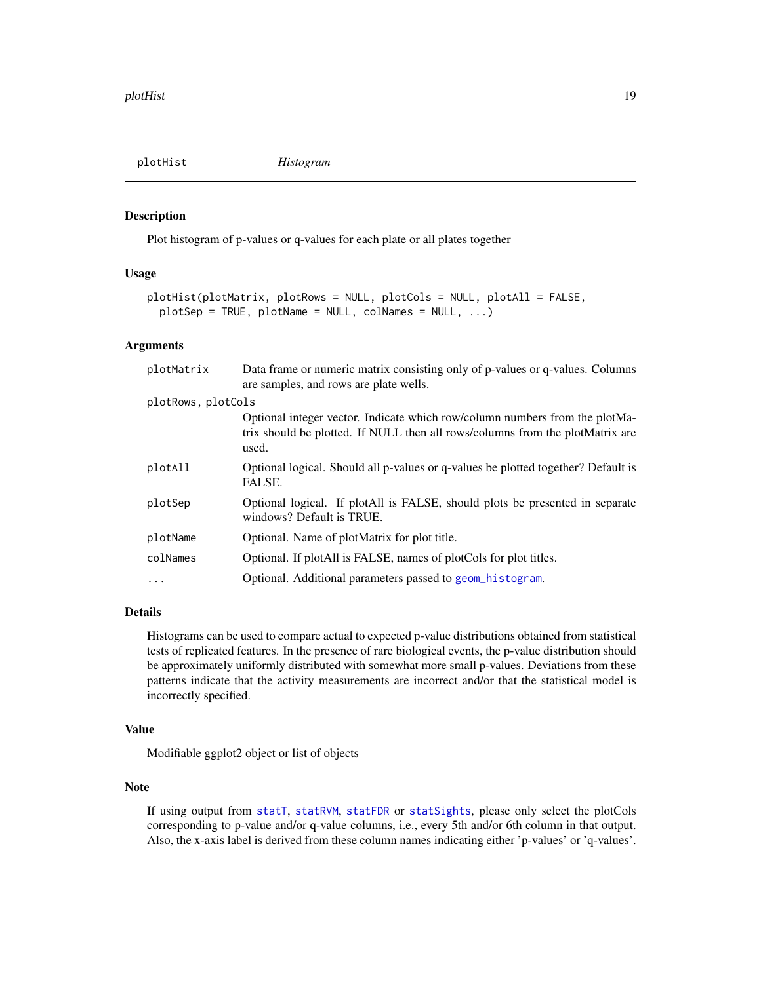<span id="page-18-1"></span><span id="page-18-0"></span>

#### Description

Plot histogram of p-values or q-values for each plate or all plates together

# Usage

```
plotHist(plotMatrix, plotRows = NULL, plotCols = NULL, plotAll = FALSE,
 plotSep = TRUE, plotName = NULL, colNames = NULL, ...)
```
#### Arguments

| plotMatrix         | Data frame or numeric matrix consisting only of p-values or q-values. Columns<br>are samples, and rows are plate wells.                                               |
|--------------------|-----------------------------------------------------------------------------------------------------------------------------------------------------------------------|
| plotRows, plotCols |                                                                                                                                                                       |
|                    | Optional integer vector. Indicate which row/column numbers from the plotMa-<br>trix should be plotted. If NULL then all rows/columns from the plotMatrix are<br>used. |
| plotAll            | Optional logical. Should all p-values or q-values be plotted together? Default is<br>FALSE.                                                                           |
| plotSep            | Optional logical. If plotAll is FALSE, should plots be presented in separate<br>windows? Default is TRUE.                                                             |
| plotName           | Optional. Name of plotMatrix for plot title.                                                                                                                          |
| colNames           | Optional. If plotAll is FALSE, names of plotCols for plot titles.                                                                                                     |
|                    | Optional. Additional parameters passed to geom_histogram.                                                                                                             |
|                    |                                                                                                                                                                       |

#### Details

Histograms can be used to compare actual to expected p-value distributions obtained from statistical tests of replicated features. In the presence of rare biological events, the p-value distribution should be approximately uniformly distributed with somewhat more small p-values. Deviations from these patterns indicate that the activity measurements are incorrect and/or that the statistical model is incorrectly specified.

# Value

Modifiable ggplot2 object or list of objects

# Note

If using output from [statT](#page-27-1), [statRVM](#page-24-1), [statFDR](#page-23-1) or [statSights](#page-26-1), please only select the plotCols corresponding to p-value and/or q-value columns, i.e., every 5th and/or 6th column in that output. Also, the x-axis label is derived from these column names indicating either 'p-values' or 'q-values'.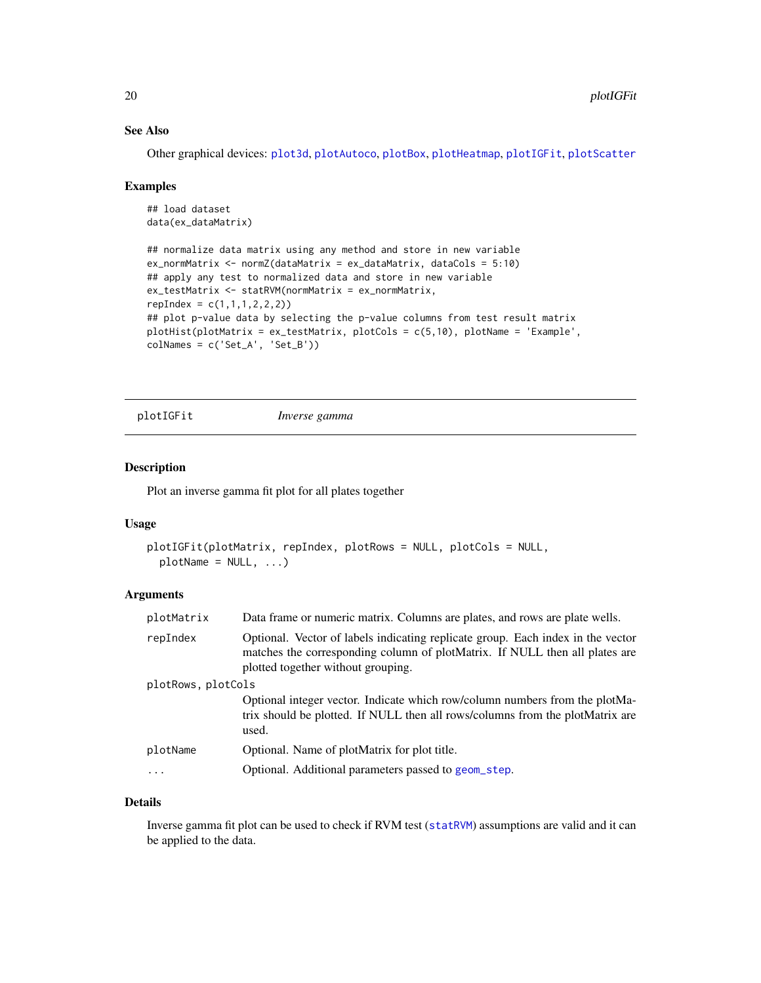# See Also

Other graphical devices: [plot3d](#page-13-1), [plotAutoco](#page-14-1), [plotBox](#page-15-1), [plotHeatmap](#page-16-1), [plotIGFit](#page-19-1), [plotScatter](#page-20-1)

#### Examples

```
## load dataset
data(ex_dataMatrix)
## normalize data matrix using any method and store in new variable
ex_normMatrix <- normZ(dataMatrix = ex_dataMatrix, dataCols = 5:10)
## apply any test to normalized data and store in new variable
ex_testMatrix <- statRVM(normMatrix = ex_normMatrix,
repIndex = c(1,1,1,2,2,2)## plot p-value data by selecting the p-value columns from test result matrix
plotHist(plotMatrix = ex_testMatrix, plotCols = c(5,10), plotName = 'Example',
colNames = c('Set_A', 'Set_B'))
```
<span id="page-19-1"></span>plotIGFit *Inverse gamma*

#### Description

Plot an inverse gamma fit plot for all plates together

#### Usage

```
plotIGFit(plotMatrix, repIndex, plotRows = NULL, plotCols = NULL,
 plotName = NULL, ...)
```
# Arguments

| plotMatrix         | Data frame or numeric matrix. Columns are plates, and rows are plate wells.                                                                                                                          |
|--------------------|------------------------------------------------------------------------------------------------------------------------------------------------------------------------------------------------------|
| repIndex           | Optional. Vector of labels indicating replicate group. Each index in the vector<br>matches the corresponding column of plotMatrix. If NULL then all plates are<br>plotted together without grouping. |
| plotRows, plotCols |                                                                                                                                                                                                      |
|                    | Optional integer vector. Indicate which row/column numbers from the plotMa-<br>trix should be plotted. If NULL then all rows/columns from the plotMatrix are<br>used.                                |
| plotName           | Optional. Name of plotMatrix for plot title.                                                                                                                                                         |
|                    | Optional. Additional parameters passed to geom_step.                                                                                                                                                 |
|                    |                                                                                                                                                                                                      |

#### Details

Inverse gamma fit plot can be used to check if RVM test ([statRVM](#page-24-1)) assumptions are valid and it can be applied to the data.

<span id="page-19-0"></span>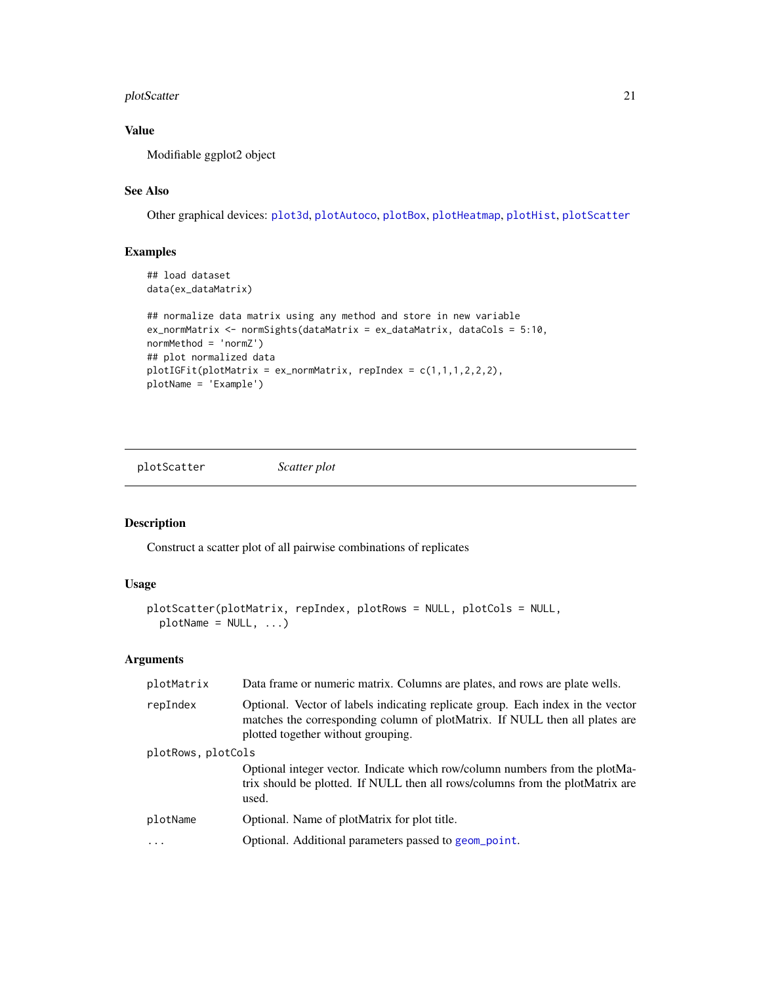# <span id="page-20-0"></span>plotScatter 21

# Value

Modifiable ggplot2 object

# See Also

Other graphical devices: [plot3d](#page-13-1), [plotAutoco](#page-14-1), [plotBox](#page-15-1), [plotHeatmap](#page-16-1), [plotHist](#page-18-1), [plotScatter](#page-20-1)

# Examples

```
## load dataset
data(ex_dataMatrix)
## normalize data matrix using any method and store in new variable
ex_normMatrix <- normSights(dataMatrix = ex_dataMatrix, dataCols = 5:10,
normMethod = 'normZ')
## plot normalized data
plotIGFit(plotMatrix = ex\_normMatrix, repIndex = c(1,1,1,2,2,2),plotName = 'Example')
```
<span id="page-20-1"></span>plotScatter *Scatter plot*

# Description

Construct a scatter plot of all pairwise combinations of replicates

# Usage

```
plotScatter(plotMatrix, repIndex, plotRows = NULL, plotCols = NULL,
 plotName = NULL, ...)
```
# Arguments

| plotMatrix              | Data frame or numeric matrix. Columns are plates, and rows are plate wells.                                                                                                                          |  |
|-------------------------|------------------------------------------------------------------------------------------------------------------------------------------------------------------------------------------------------|--|
| repIndex                | Optional. Vector of labels indicating replicate group. Each index in the vector<br>matches the corresponding column of plotMatrix. If NULL then all plates are<br>plotted together without grouping. |  |
| plotRows, plotCols      |                                                                                                                                                                                                      |  |
|                         | Optional integer vector. Indicate which row/column numbers from the plotMa-<br>trix should be plotted. If NULL then all rows/columns from the plotMatrix are<br>used.                                |  |
| plotName                | Optional. Name of plotMatrix for plot title.                                                                                                                                                         |  |
| $\cdot$ $\cdot$ $\cdot$ | Optional. Additional parameters passed to geom_point.                                                                                                                                                |  |
|                         |                                                                                                                                                                                                      |  |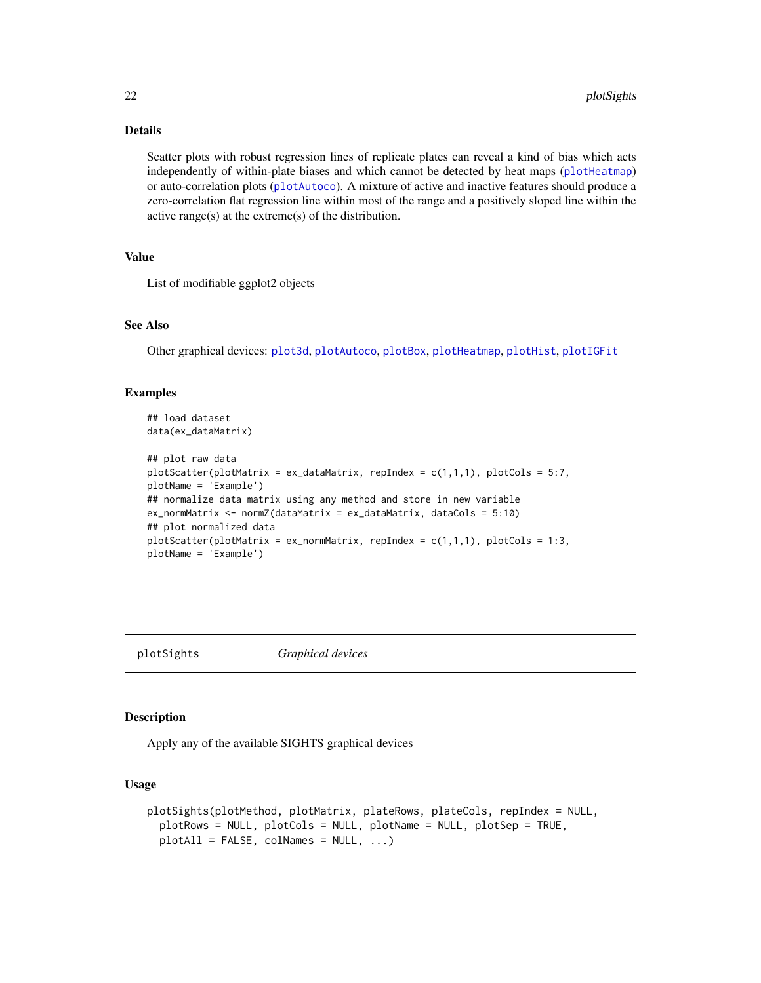# Details

Scatter plots with robust regression lines of replicate plates can reveal a kind of bias which acts independently of within-plate biases and which cannot be detected by heat maps ([plotHeatmap](#page-16-1)) or auto-correlation plots ([plotAutoco](#page-14-1)). A mixture of active and inactive features should produce a zero-correlation flat regression line within most of the range and a positively sloped line within the active range(s) at the extreme(s) of the distribution.

# Value

List of modifiable ggplot2 objects

# See Also

Other graphical devices: [plot3d](#page-13-1), [plotAutoco](#page-14-1), [plotBox](#page-15-1), [plotHeatmap](#page-16-1), [plotHist](#page-18-1), [plotIGFit](#page-19-1)

# Examples

```
## load dataset
data(ex_dataMatrix)
## plot raw data
plotScatter(plotMatrix = ex_dataMatrix, repIndex = c(1,1,1), plotCols = 5:7,
plotName = 'Example')
## normalize data matrix using any method and store in new variable
ex_normMatrix <- normZ(dataMatrix = ex_dataMatrix, dataCols = 5:10)
## plot normalized data
plotScatter(plotMatrix = ex_{norm}Matrix, repIndex = c(1,1,1), plotCols = 1:3,
plotName = 'Example')
```
<span id="page-21-1"></span>

plotSights *Graphical devices*

#### Description

Apply any of the available SIGHTS graphical devices

# Usage

```
plotSights(plotMethod, plotMatrix, plateRows, plateCols, repIndex = NULL,
 plotRows = NULL, plotCols = NULL, plotName = NULL, plotSep = TRUE,
 plotAll = FALSE, colNames = NULL, ...)
```
<span id="page-21-0"></span>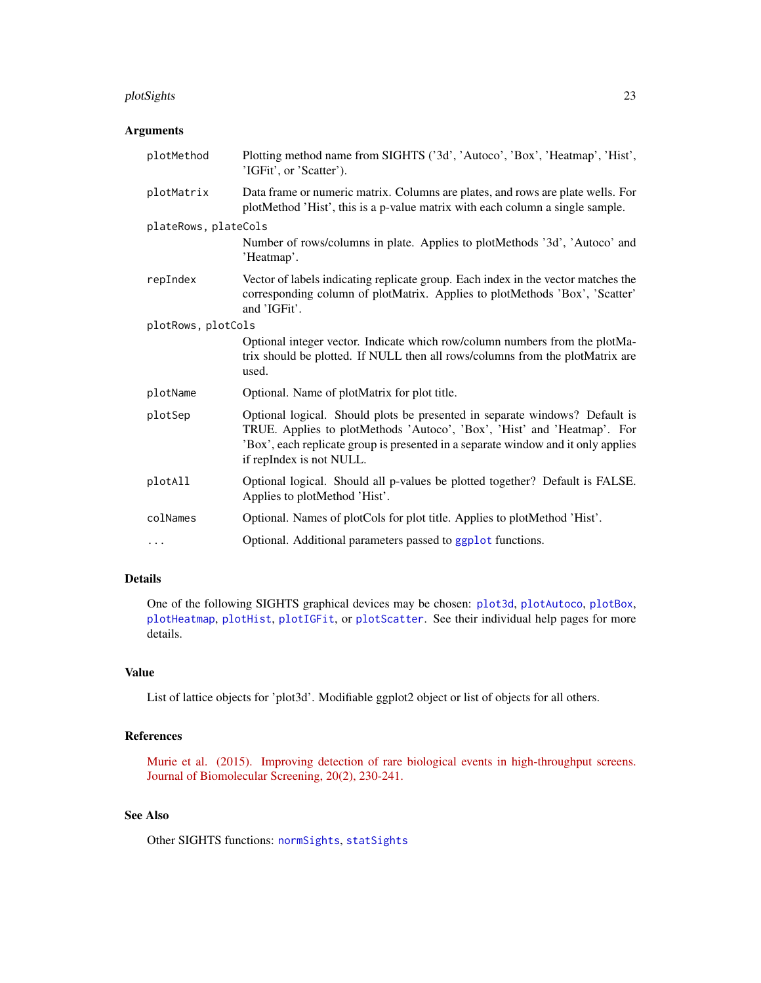#### <span id="page-22-0"></span>plotSights 23

# Arguments

| plotMethod           | Plotting method name from SIGHTS ('3d', 'Autoco', 'Box', 'Heatmap', 'Hist',<br>'IGFit', or 'Scatter').                                                                                                                                                                  |  |
|----------------------|-------------------------------------------------------------------------------------------------------------------------------------------------------------------------------------------------------------------------------------------------------------------------|--|
| plotMatrix           | Data frame or numeric matrix. Columns are plates, and rows are plate wells. For<br>plotMethod 'Hist', this is a p-value matrix with each column a single sample.                                                                                                        |  |
| plateRows, plateCols |                                                                                                                                                                                                                                                                         |  |
|                      | Number of rows/columns in plate. Applies to plotMethods '3d', 'Autoco' and<br>'Heatmap'.                                                                                                                                                                                |  |
| repIndex             | Vector of labels indicating replicate group. Each index in the vector matches the<br>corresponding column of plotMatrix. Applies to plotMethods 'Box', 'Scatter'<br>and 'IGFit'.                                                                                        |  |
| plotRows, plotCols   |                                                                                                                                                                                                                                                                         |  |
|                      | Optional integer vector. Indicate which row/column numbers from the plotMa-<br>trix should be plotted. If NULL then all rows/columns from the plotMatrix are<br>used.                                                                                                   |  |
| plotName             | Optional. Name of plotMatrix for plot title.                                                                                                                                                                                                                            |  |
| plotSep              | Optional logical. Should plots be presented in separate windows? Default is<br>TRUE. Applies to plotMethods 'Autoco', 'Box', 'Hist' and 'Heatmap'. For<br>'Box', each replicate group is presented in a separate window and it only applies<br>if repIndex is not NULL. |  |
| plotAll              | Optional logical. Should all p-values be plotted together? Default is FALSE.<br>Applies to plotMethod 'Hist'.                                                                                                                                                           |  |
| colNames             | Optional. Names of plotCols for plot title. Applies to plotMethod 'Hist'.                                                                                                                                                                                               |  |
| $\cdots$             | Optional. Additional parameters passed to ggplot functions.                                                                                                                                                                                                             |  |

# Details

One of the following SIGHTS graphical devices may be chosen: [plot3d](#page-13-1), [plotAutoco](#page-14-1), [plotBox](#page-15-1), [plotHeatmap](#page-16-1), [plotHist](#page-18-1), [plotIGFit](#page-19-1), or [plotScatter](#page-20-1). See their individual help pages for more details.

# Value

List of lattice objects for 'plot3d'. Modifiable ggplot2 object or list of objects for all others.

# References

[Murie et al. \(2015\). Improving detection of rare biological events in high-throughput screens.](http://www.ncbi.nlm.nih.gov/pubmed/25190066) [Journal of Biomolecular Screening, 20\(2\), 230-241.](http://www.ncbi.nlm.nih.gov/pubmed/25190066)

# See Also

Other SIGHTS functions: [normSights](#page-9-1), [statSights](#page-26-1)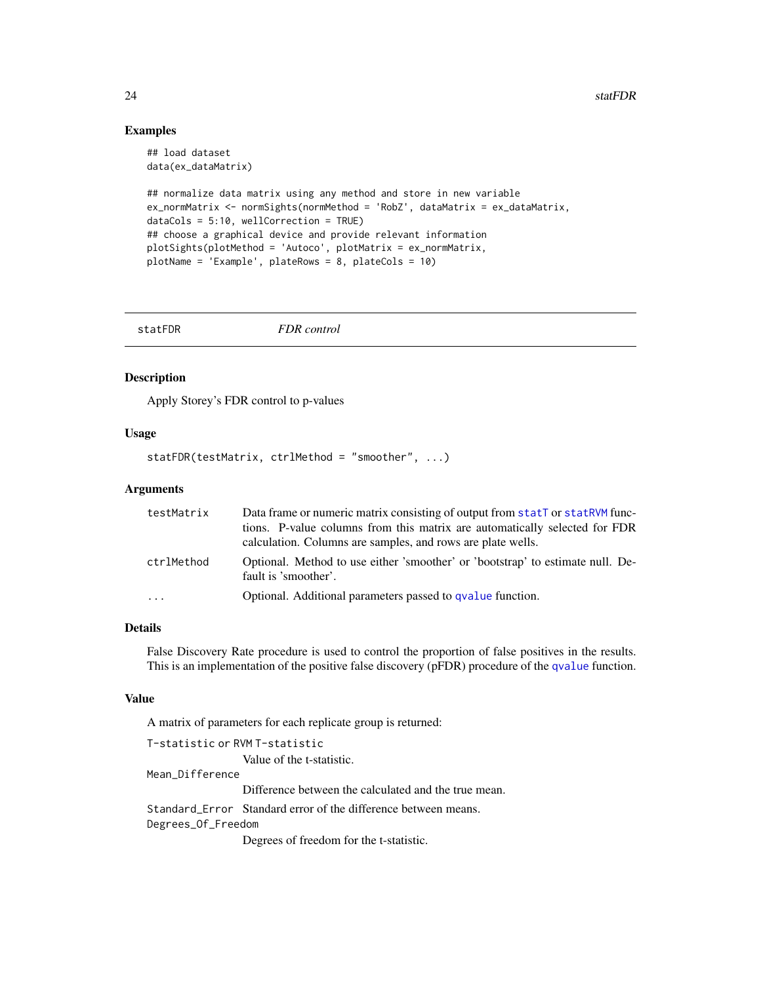#### <span id="page-23-0"></span>Examples

```
## load dataset
data(ex_dataMatrix)
## normalize data matrix using any method and store in new variable
ex_normMatrix <- normSights(normMethod = 'RobZ', dataMatrix = ex_dataMatrix,
dataCols = 5:10, wellCorrection = TRUE)
## choose a graphical device and provide relevant information
plotSights(plotMethod = 'Autoco', plotMatrix = ex_normMatrix,
plotName = 'Example', plateRows = 8, plateCols = 10)
```
<span id="page-23-1"></span>

| statFDR | FDR control |  |
|---------|-------------|--|
|---------|-------------|--|

# Description

Apply Storey's FDR control to p-values

#### Usage

```
statFDR(testMatrix, ctrlMethod = "smoother", ...)
```
#### Arguments

| testMatrix | Data frame or numeric matrix consisting of output from statT or statRVM func-                          |
|------------|--------------------------------------------------------------------------------------------------------|
|            | tions. P-value columns from this matrix are automatically selected for FDR                             |
|            | calculation. Columns are samples, and rows are plate wells.                                            |
| ctrlMethod | Optional. Method to use either 'smoother' or 'bootstrap' to estimate null. De-<br>fault is 'smoother'. |
| $\cdots$   | Optional. Additional parameters passed to qvalue function.                                             |

# Details

False Discovery Rate procedure is used to control the proportion of false positives in the results. This is an implementation of the positive false discovery (pFDR) procedure of the [qvalue](#page-0-0) function.

#### Value

A matrix of parameters for each replicate group is returned:

```
T-statistic or RVM T-statistic
                  Value of the t-statistic.
Mean_Difference
                 Difference between the calculated and the true mean.
Standard_Error Standard error of the difference between means.
Degrees_Of_Freedom
```
Degrees of freedom for the t-statistic.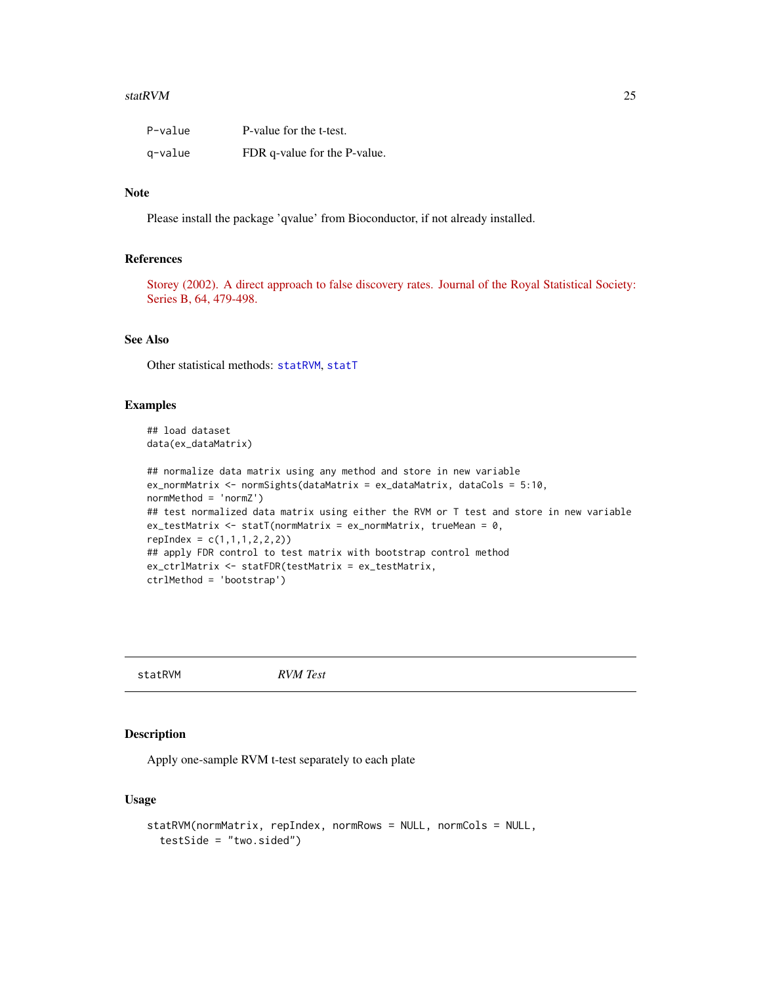#### <span id="page-24-0"></span>statRVM 25

| P-value | P-value for the t-test.      |
|---------|------------------------------|
| g-value | FDR q-value for the P-value. |

# Note

Please install the package 'qvalue' from Bioconductor, if not already installed.

# References

[Storey \(2002\). A direct approach to false discovery rates. Journal of the Royal Statistical Society:](http://onlinelibrary.wiley.com/doi/10.1111/1467-9868.00346/pdf) [Series B, 64, 479-498.](http://onlinelibrary.wiley.com/doi/10.1111/1467-9868.00346/pdf)

# See Also

Other statistical methods: [statRVM](#page-24-1), [statT](#page-27-1)

#### Examples

```
## load dataset
data(ex_dataMatrix)
```

```
## normalize data matrix using any method and store in new variable
ex_normMatrix <- normSights(dataMatrix = ex_dataMatrix, dataCols = 5:10,
normMethod = 'normZ')
## test normalized data matrix using either the RVM or T test and store in new variable
ex_testMatrix <- statT(normMatrix = ex_normMatrix, trueMean = 0,
repIndex = c(1, 1, 1, 2, 2, 2)## apply FDR control to test matrix with bootstrap control method
ex_ctrlMatrix <- statFDR(testMatrix = ex_testMatrix,
ctrlMethod = 'bootstrap')
```
<span id="page-24-1"></span>statRVM *RVM Test*

#### Description

Apply one-sample RVM t-test separately to each plate

#### Usage

```
statRVM(normMatrix, repIndex, normRows = NULL, normCols = NULL,
  testSide = "two.sided")
```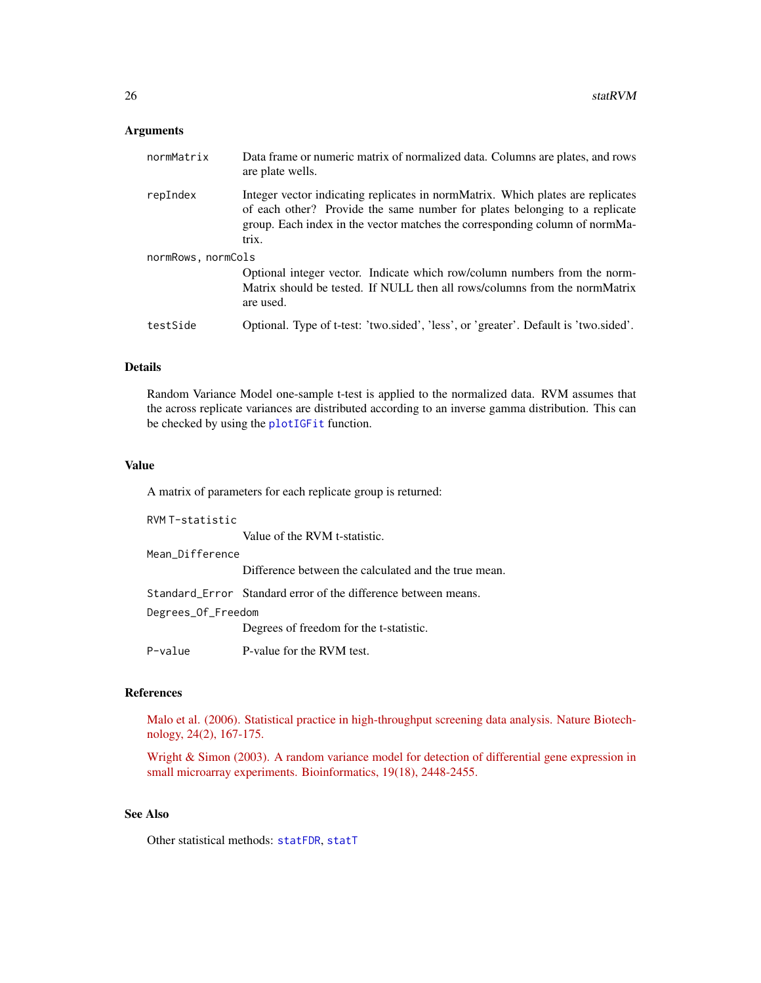# <span id="page-25-0"></span>Arguments

| normMatrix         | Data frame or numeric matrix of normalized data. Columns are plates, and rows<br>are plate wells.                                                                                                                                                     |
|--------------------|-------------------------------------------------------------------------------------------------------------------------------------------------------------------------------------------------------------------------------------------------------|
| repIndex           | Integer vector indicating replicates in normMatrix. Which plates are replicates<br>of each other? Provide the same number for plates belonging to a replicate<br>group. Each index in the vector matches the corresponding column of normMa-<br>trix. |
| normRows, normCols |                                                                                                                                                                                                                                                       |
|                    | Optional integer vector. Indicate which row/column numbers from the norm-<br>Matrix should be tested. If NULL then all rows/columns from the normMatrix<br>are used.                                                                                  |
| testSide           | Optional. Type of t-test: 'two.sided', 'less', or 'greater'. Default is 'two.sided'.                                                                                                                                                                  |

#### Details

Random Variance Model one-sample t-test is applied to the normalized data. RVM assumes that the across replicate variances are distributed according to an inverse gamma distribution. This can be checked by using the [plotIGFit](#page-19-1) function.

#### Value

A matrix of parameters for each replicate group is returned:

| RVM T-statistic    |                                                                |
|--------------------|----------------------------------------------------------------|
|                    | Value of the RVM t-statistic.                                  |
| Mean Difference    |                                                                |
|                    | Difference between the calculated and the true mean.           |
|                    | Standard Error Standard error of the difference between means. |
| Degrees_Of_Freedom |                                                                |
|                    | Degrees of freedom for the t-statistic.                        |
| P-value            | P-value for the RVM test.                                      |

# References

[Malo et al. \(2006\). Statistical practice in high-throughput screening data analysis. Nature Biotech](http://www.ncbi.nlm.nih.gov/pubmed/16465162)[nology, 24\(2\), 167-175.](http://www.ncbi.nlm.nih.gov/pubmed/16465162)

[Wright & Simon \(2003\). A random variance model for detection of differential gene expression in](http://www.ncbi.nlm.nih.gov/pubmed/14668230) [small microarray experiments. Bioinformatics, 19\(18\), 2448-2455.](http://www.ncbi.nlm.nih.gov/pubmed/14668230)

# See Also

Other statistical methods: [statFDR](#page-23-1), [statT](#page-27-1)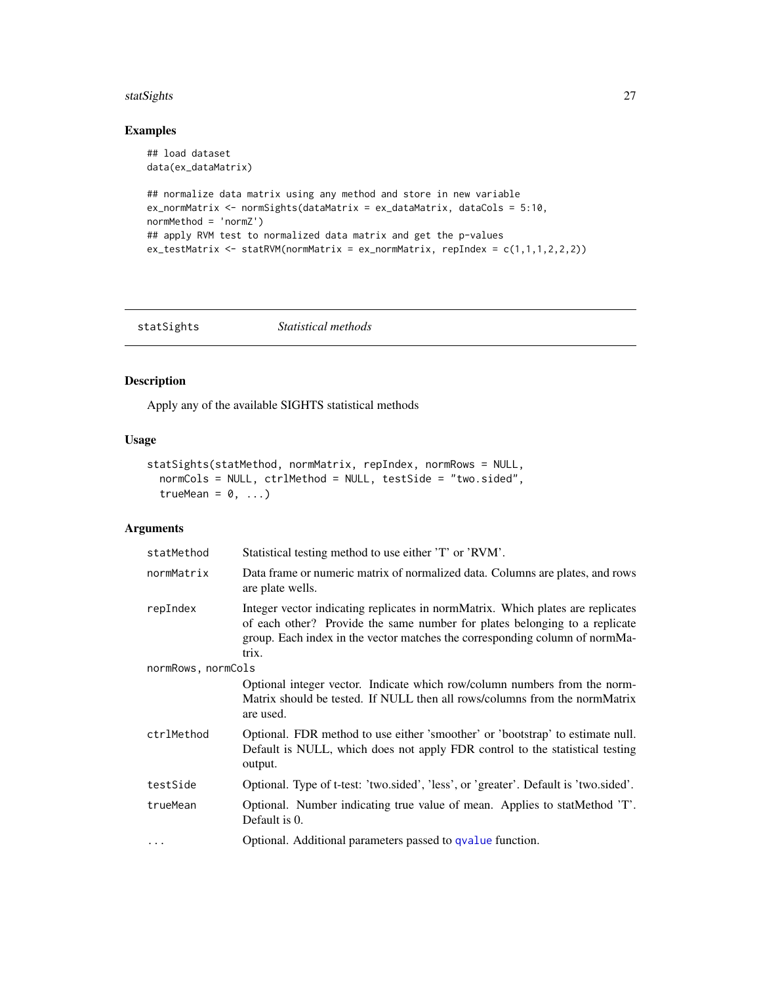#### <span id="page-26-0"></span>statSights 27

# Examples

```
## load dataset
data(ex_dataMatrix)
## normalize data matrix using any method and store in new variable
ex_normMatrix <- normSights(dataMatrix = ex_dataMatrix, dataCols = 5:10,
normMethod = 'normZ')
## apply RVM test to normalized data matrix and get the p-values
ex\_testMatrix \leq stateVMM(normMatrix = ex\_normMatrix, repIndex = c(1,1,1,2,2,2))
```
<span id="page-26-1"></span>

| statSights | <i>Statistical methods</i> |  |
|------------|----------------------------|--|
|------------|----------------------------|--|

# Description

Apply any of the available SIGHTS statistical methods

#### Usage

```
statSights(statMethod, normMatrix, repIndex, normRows = NULL,
 normCols = NULL, ctrlMethod = NULL, testSide = "two.sided",
  trueMean = 0, \ldots)
```
# Arguments

| statMethod         | Statistical testing method to use either 'T' or 'RVM'.                                                                                                                                                                                                |  |
|--------------------|-------------------------------------------------------------------------------------------------------------------------------------------------------------------------------------------------------------------------------------------------------|--|
| normMatrix         | Data frame or numeric matrix of normalized data. Columns are plates, and rows<br>are plate wells.                                                                                                                                                     |  |
| repIndex           | Integer vector indicating replicates in normMatrix. Which plates are replicates<br>of each other? Provide the same number for plates belonging to a replicate<br>group. Each index in the vector matches the corresponding column of normMa-<br>trix. |  |
| normRows, normCols |                                                                                                                                                                                                                                                       |  |
|                    | Optional integer vector. Indicate which row/column numbers from the norm-<br>Matrix should be tested. If NULL then all rows/columns from the normMatrix<br>are used.                                                                                  |  |
| ctrlMethod         | Optional. FDR method to use either 'smoother' or 'bootstrap' to estimate null.<br>Default is NULL, which does not apply FDR control to the statistical testing<br>output.                                                                             |  |
| testSide           | Optional. Type of t-test: 'two.sided', 'less', or 'greater'. Default is 'two.sided'.                                                                                                                                                                  |  |
| trueMean           | Optional. Number indicating true value of mean. Applies to statMethod 'T'.<br>Default is 0.                                                                                                                                                           |  |
| $\ddots$ .         | Optional. Additional parameters passed to qvalue function.                                                                                                                                                                                            |  |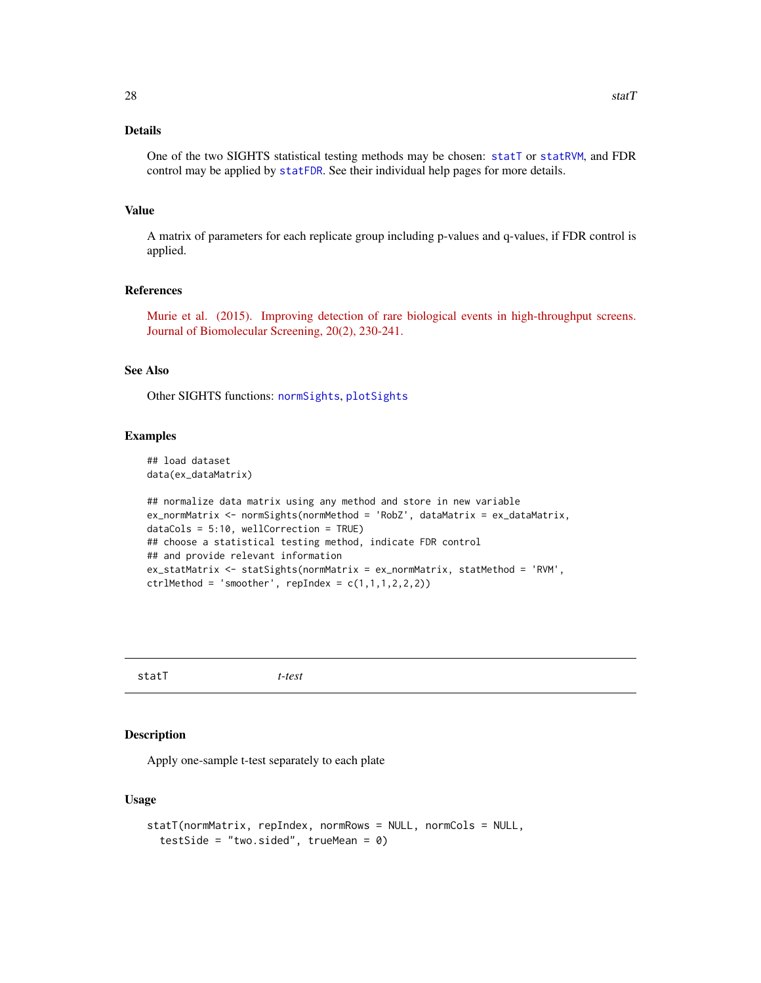# <span id="page-27-0"></span>Details

One of the two SIGHTS statistical testing methods may be chosen: [statT](#page-27-1) or [statRVM](#page-24-1), and FDR control may be applied by [statFDR](#page-23-1). See their individual help pages for more details.

#### Value

A matrix of parameters for each replicate group including p-values and q-values, if FDR control is applied.

# References

[Murie et al. \(2015\). Improving detection of rare biological events in high-throughput screens.](http://www.ncbi.nlm.nih.gov/pubmed/25190066) [Journal of Biomolecular Screening, 20\(2\), 230-241.](http://www.ncbi.nlm.nih.gov/pubmed/25190066)

#### See Also

Other SIGHTS functions: [normSights](#page-9-1), [plotSights](#page-21-1)

# Examples

```
## load dataset
data(ex_dataMatrix)
```

```
## normalize data matrix using any method and store in new variable
ex_normMatrix <- normSights(normMethod = 'RobZ', dataMatrix = ex_dataMatrix,
dataCols = 5:10, wellCorrection = TRUE)
## choose a statistical testing method, indicate FDR control
## and provide relevant information
ex_statMatrix <- statSights(normMatrix = ex_normMatrix, statMethod = 'RVM',
ctrlMethod = 'smoother', repIndex = c(1,1,1,2,2,2))
```
<span id="page-27-1"></span>statT *t-test*

#### Description

Apply one-sample t-test separately to each plate

#### Usage

```
statT(normMatrix, repIndex, normRows = NULL, normCols = NULL,
  testSide = "two.sided", trueMean = 0)
```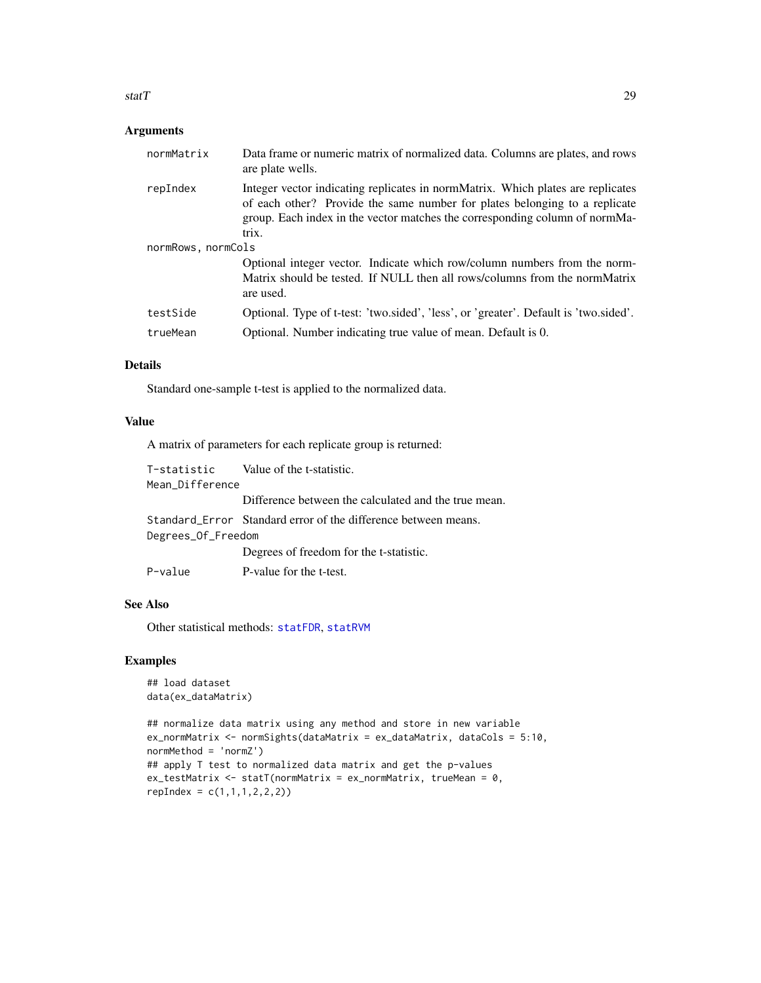#### <span id="page-28-0"></span>statT 29

# Arguments

| normMatrix         | Data frame or numeric matrix of normalized data. Columns are plates, and rows<br>are plate wells.                                                                                                                                                     |
|--------------------|-------------------------------------------------------------------------------------------------------------------------------------------------------------------------------------------------------------------------------------------------------|
| repIndex           | Integer vector indicating replicates in normMatrix. Which plates are replicates<br>of each other? Provide the same number for plates belonging to a replicate<br>group. Each index in the vector matches the corresponding column of normMa-<br>trix. |
| normRows, normCols |                                                                                                                                                                                                                                                       |
|                    | Optional integer vector. Indicate which row/column numbers from the norm-<br>Matrix should be tested. If NULL then all rows/columns from the normMatrix<br>are used.                                                                                  |
| testSide           | Optional. Type of t-test: 'two.sided', 'less', or 'greater'. Default is 'two.sided'.                                                                                                                                                                  |
| trueMean           | Optional. Number indicating true value of mean. Default is 0.                                                                                                                                                                                         |
|                    |                                                                                                                                                                                                                                                       |

# Details

Standard one-sample t-test is applied to the normalized data.

#### Value

A matrix of parameters for each replicate group is returned:

|                    | T-statistic Value of the t-statistic.                          |
|--------------------|----------------------------------------------------------------|
| Mean_Difference    |                                                                |
|                    | Difference between the calculated and the true mean.           |
|                    | Standard Error Standard error of the difference between means. |
| Degrees_Of_Freedom |                                                                |
|                    | Degrees of freedom for the t-statistic.                        |
| P-value            | P-value for the t-test.                                        |

# See Also

Other statistical methods: [statFDR](#page-23-1), [statRVM](#page-24-1)

# Examples

```
## load dataset
data(ex_dataMatrix)
```

```
## normalize data matrix using any method and store in new variable
ex_normMatrix <- normSights(dataMatrix = ex_dataMatrix, dataCols = 5:10,
normMethod = 'normZ')
## apply T test to normalized data matrix and get the p-values
ex_testMatrix <- statT(normMatrix = ex_normMatrix, trueMean = 0,
repIndex = c(1, 1, 1, 2, 2, 2)
```